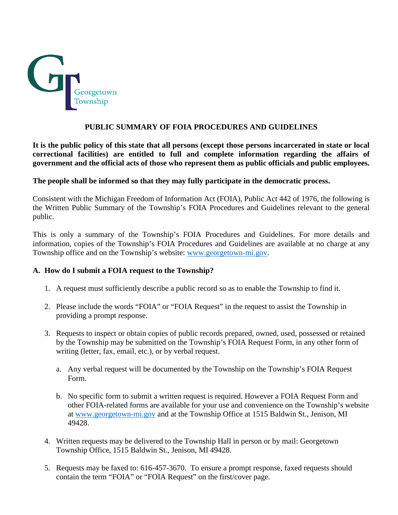

#### **PUBLIC SUMMARY OF FOIA PROCEDURES AND GUIDELINES**

**It is the public policy of this state that all persons (except those persons incarcerated in state or local correctional facilities) are entitled to full and complete information regarding the affairs of government and the official acts of those who represent them as public officials and public employees.** 

#### **The people shall be informed so that they may fully participate in the democratic process.**

Consistent with the Michigan Freedom of Information Act (FOIA), Public Act 442 of 1976, the following is the Written Public Summary of the Township's FOIA Procedures and Guidelines relevant to the general public.

This is only a summary of the Township's FOIA Procedures and Guidelines. For more details and information, copies of the Township's FOIA Procedures and Guidelines are available at no charge at any Township office and on the Township's website: [www.georgetown-mi.gov.](http://www.georgetown-mi.gov/)

#### **A. How do I submit a FOIA request to the Township?**

- 1. A request must sufficiently describe a public record so as to enable the Township to find it.
- 2. Please include the words "FOIA" or "FOIA Request" in the request to assist the Township in providing a prompt response.
- 3. Requests to inspect or obtain copies of public records prepared, owned, used, possessed or retained by the Township may be submitted on the Township's FOIA Request Form, in any other form of writing (letter, fax, email, etc.), or by verbal request.
	- a. Any verbal request will be documented by the Township on the Township's FOIA Request Form.
	- b. No specific form to submit a written request is required. However a FOIA Request Form and other FOIA-related forms are available for your use and convenience on the Township's website at [www.georgetown-mi.gov](http://www.georgetown-mi.gov/) and at the Township Office at 1515 Baldwin St., Jenison, MI 49428.
- 4. Written requests may be delivered to the Township Hall in person or by mail: Georgetown Township Office, 1515 Baldwin St., Jenison, MI 49428.
- 5. Requests may be faxed to: 616-457-3670. To ensure a prompt response, faxed requests should contain the term "FOIA" or "FOIA Request" on the first/cover page.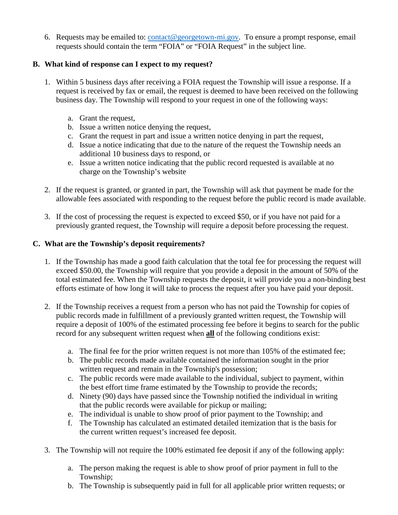6. Requests may be emailed to:  $\text{contact@}$  georgetown-mi.gov. To ensure a prompt response, email requests should contain the term "FOIA" or "FOIA Request" in the subject line.

## **B. What kind of response can I expect to my request?**

- 1. Within 5 business days after receiving a FOIA request the Township will issue a response. If a request is received by fax or email, the request is deemed to have been received on the following business day. The Township will respond to your request in one of the following ways:
	- a. Grant the request,
	- b. Issue a written notice denying the request,
	- c. Grant the request in part and issue a written notice denying in part the request,
	- d. Issue a notice indicating that due to the nature of the request the Township needs an additional 10 business days to respond, or
	- e. Issue a written notice indicating that the public record requested is available at no charge on the Township's website
- 2. If the request is granted, or granted in part, the Township will ask that payment be made for the allowable fees associated with responding to the request before the public record is made available.
- 3. If the cost of processing the request is expected to exceed \$50, or if you have not paid for a previously granted request, the Township will require a deposit before processing the request.

## **C. What are the Township's deposit requirements?**

- 1. If the Township has made a good faith calculation that the total fee for processing the request will exceed \$50.00, the Township will require that you provide a deposit in the amount of 50% of the total estimated fee. When the Township requests the deposit, it will provide you a non-binding best efforts estimate of how long it will take to process the request after you have paid your deposit.
- 2. If the Township receives a request from a person who has not paid the Township for copies of public records made in fulfillment of a previously granted written request, the Township will require a deposit of 100% of the estimated processing fee before it begins to search for the public record for any subsequent written request when **all** of the following conditions exist:
	- a. The final fee for the prior written request is not more than 105% of the estimated fee;
	- b. The public records made available contained the information sought in the prior written request and remain in the Township's possession;
	- c. The public records were made available to the individual, subject to payment, within the best effort time frame estimated by the Township to provide the records;
	- d. Ninety (90) days have passed since the Township notified the individual in writing that the public records were available for pickup or mailing;
	- e. The individual is unable to show proof of prior payment to the Township; and
	- f. The Township has calculated an estimated detailed itemization that is the basis for the current written request's increased fee deposit.
- 3. The Township will not require the 100% estimated fee deposit if any of the following apply:
	- a. The person making the request is able to show proof of prior payment in full to the Township;
	- b. The Township is subsequently paid in full for all applicable prior written requests; or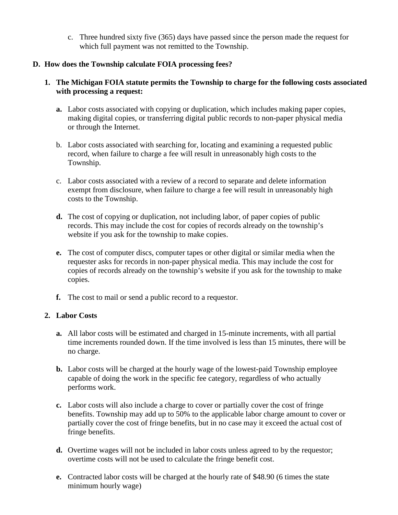c. Three hundred sixty five (365) days have passed since the person made the request for which full payment was not remitted to the Township.

#### **D. How does the Township calculate FOIA processing fees?**

#### **1. The Michigan FOIA statute permits the Township to charge for the following costs associated with processing a request:**

- **a.** Labor costs associated with copying or duplication, which includes making paper copies, making digital copies, or transferring digital public records to non-paper physical media or through the Internet.
- b. Labor costs associated with searching for, locating and examining a requested public record, when failure to charge a fee will result in unreasonably high costs to the Township.
- c. Labor costs associated with a review of a record to separate and delete information exempt from disclosure, when failure to charge a fee will result in unreasonably high costs to the Township.
- **d.** The cost of copying or duplication, not including labor, of paper copies of public records. This may include the cost for copies of records already on the township's website if you ask for the township to make copies.
- **e.** The cost of computer discs, computer tapes or other digital or similar media when the requester asks for records in non-paper physical media. This may include the cost for copies of records already on the township's website if you ask for the township to make copies.
- **f.** The cost to mail or send a public record to a requestor.

#### **2. Labor Costs**

- **a.** All labor costs will be estimated and charged in 15-minute increments, with all partial time increments rounded down. If the time involved is less than 15 minutes, there will be no charge.
- **b.** Labor costs will be charged at the hourly wage of the lowest-paid Township employee capable of doing the work in the specific fee category, regardless of who actually performs work.
- **c.** Labor costs will also include a charge to cover or partially cover the cost of fringe benefits. Township may add up to 50% to the applicable labor charge amount to cover or partially cover the cost of fringe benefits, but in no case may it exceed the actual cost of fringe benefits.
- **d.** Overtime wages will not be included in labor costs unless agreed to by the requestor; overtime costs will not be used to calculate the fringe benefit cost.
- **e.** Contracted labor costs will be charged at the hourly rate of \$48.90 (6 times the state minimum hourly wage)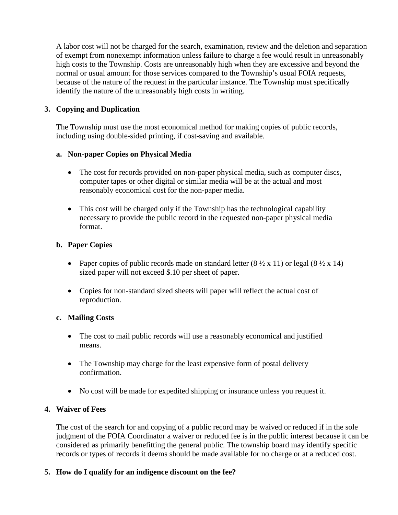A labor cost will not be charged for the search, examination, review and the deletion and separation of exempt from nonexempt information unless failure to charge a fee would result in unreasonably high costs to the Township. Costs are unreasonably high when they are excessive and beyond the normal or usual amount for those services compared to the Township's usual FOIA requests, because of the nature of the request in the particular instance. The Township must specifically identify the nature of the unreasonably high costs in writing.

## **3. Copying and Duplication**

The Township must use the most economical method for making copies of public records, including using double-sided printing, if cost-saving and available.

### **a. Non-paper Copies on Physical Media**

- The cost for records provided on non-paper physical media, such as computer discs, computer tapes or other digital or similar media will be at the actual and most reasonably economical cost for the non-paper media.
- This cost will be charged only if the Township has the technological capability necessary to provide the public record in the requested non-paper physical media format.

#### **b. Paper Copies**

- Paper copies of public records made on standard letter  $(8 \frac{1}{2} \times 11)$  or legal  $(8 \frac{1}{2} \times 14)$ sized paper will not exceed \$.10 per sheet of paper.
- Copies for non-standard sized sheets will paper will reflect the actual cost of reproduction.

#### **c. Mailing Costs**

- The cost to mail public records will use a reasonably economical and justified means.
- The Township may charge for the least expensive form of postal delivery confirmation.
- No cost will be made for expedited shipping or insurance unless you request it.

### **4. Waiver of Fees**

The cost of the search for and copying of a public record may be waived or reduced if in the sole judgment of the FOIA Coordinator a waiver or reduced fee is in the public interest because it can be considered as primarily benefitting the general public. The township board may identify specific records or types of records it deems should be made available for no charge or at a reduced cost.

### **5. How do I qualify for an indigence discount on the fee?**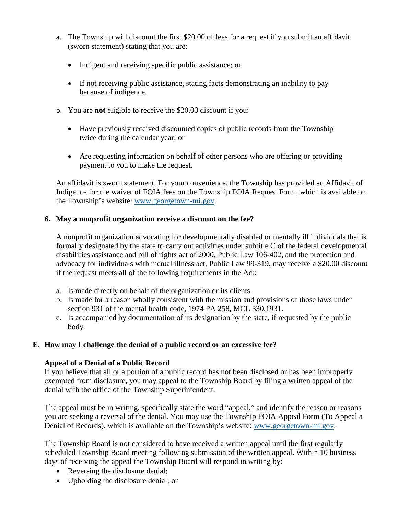- a. The Township will discount the first \$20.00 of fees for a request if you submit an affidavit (sworn statement) stating that you are:
	- Indigent and receiving specific public assistance; or
	- If not receiving public assistance, stating facts demonstrating an inability to pay because of indigence.
- b. You are **not** eligible to receive the \$20.00 discount if you:
	- Have previously received discounted copies of public records from the Township twice during the calendar year; or
	- Are requesting information on behalf of other persons who are offering or providing payment to you to make the request.

An affidavit is sworn statement. For your convenience, the Township has provided an Affidavit of Indigence for the waiver of FOIA fees on the Township FOIA Request Form, which is available on the Township's website: [www.georgetown-mi.gov.](http://www.georgetown-mi.gov/)

### **6. May a nonprofit organization receive a discount on the fee?**

A nonprofit organization advocating for developmentally disabled or mentally ill individuals that is formally designated by the state to carry out activities under subtitle C of the federal developmental disabilities assistance and bill of rights act of 2000, Public Law 106-402, and the protection and advocacy for individuals with mental illness act, Public Law 99-319, may receive a \$20.00 discount if the request meets all of the following requirements in the Act:

- a. Is made directly on behalf of the organization or its clients.
- b. Is made for a reason wholly consistent with the mission and provisions of those laws under section 931 of the mental health code, 1974 PA 258, MCL 330.1931.
- c. Is accompanied by documentation of its designation by the state, if requested by the public body.

### **E. How may I challenge the denial of a public record or an excessive fee?**

### **Appeal of a Denial of a Public Record**

If you believe that all or a portion of a public record has not been disclosed or has been improperly exempted from disclosure, you may appeal to the Township Board by filing a written appeal of the denial with the office of the Township Superintendent.

The appeal must be in writing, specifically state the word "appeal," and identify the reason or reasons you are seeking a reversal of the denial. You may use the Township FOIA Appeal Form (To Appeal a Denial of Records), which is available on the Township's website: [www.georgetown-mi.gov.](http://www.georgetown-mi.gov/)

The Township Board is not considered to have received a written appeal until the first regularly scheduled Township Board meeting following submission of the written appeal. Within 10 business days of receiving the appeal the Township Board will respond in writing by:

- Reversing the disclosure denial;
- Upholding the disclosure denial; or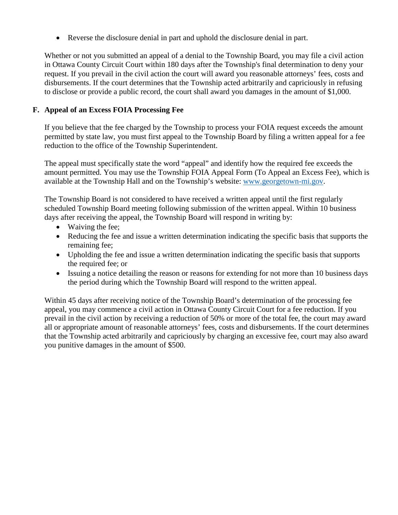• Reverse the disclosure denial in part and uphold the disclosure denial in part.

Whether or not you submitted an appeal of a denial to the Township Board, you may file a civil action in Ottawa County Circuit Court within 180 days after the Township's final determination to deny your request. If you prevail in the civil action the court will award you reasonable attorneys' fees, costs and disbursements. If the court determines that the Township acted arbitrarily and capriciously in refusing to disclose or provide a public record, the court shall award you damages in the amount of \$1,000.

## **F. Appeal of an Excess FOIA Processing Fee**

If you believe that the fee charged by the Township to process your FOIA request exceeds the amount permitted by state law, you must first appeal to the Township Board by filing a written appeal for a fee reduction to the office of the Township Superintendent.

The appeal must specifically state the word "appeal" and identify how the required fee exceeds the amount permitted. You may use the Township FOIA Appeal Form (To Appeal an Excess Fee), which is available at the Township Hall and on the Township's website: [www.georgetown-mi.gov.](http://www.georgetown-mi.gov/)

The Township Board is not considered to have received a written appeal until the first regularly scheduled Township Board meeting following submission of the written appeal. Within 10 business days after receiving the appeal, the Township Board will respond in writing by:

- Waiving the fee:
- Reducing the fee and issue a written determination indicating the specific basis that supports the remaining fee;
- Upholding the fee and issue a written determination indicating the specific basis that supports the required fee; or
- Issuing a notice detailing the reason or reasons for extending for not more than 10 business days the period during which the Township Board will respond to the written appeal.

Within 45 days after receiving notice of the Township Board's determination of the processing fee appeal, you may commence a civil action in Ottawa County Circuit Court for a fee reduction. If you prevail in the civil action by receiving a reduction of 50% or more of the total fee, the court may award all or appropriate amount of reasonable attorneys' fees, costs and disbursements. If the court determines that the Township acted arbitrarily and capriciously by charging an excessive fee, court may also award you punitive damages in the amount of \$500.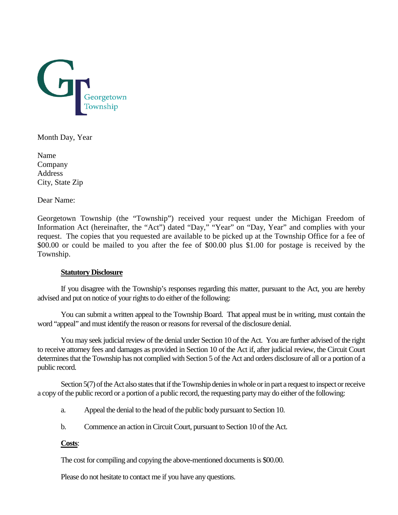

Month Day, Year

Name Company Address City, State Zip

Dear Name:

Georgetown Township (the "Township") received your request under the Michigan Freedom of Information Act (hereinafter, the "Act") dated "Day," "Year" on "Day, Year" and complies with your request. The copies that you requested are available to be picked up at the Township Office for a fee of \$00.00 or could be mailed to you after the fee of \$00.00 plus \$1.00 for postage is received by the Township.

#### **Statutory Disclosure**

If you disagree with the Township's responses regarding this matter, pursuant to the Act, you are hereby advised and put on notice of your rights to do either of the following:

You can submit a written appeal to the Township Board. That appeal must be in writing, must contain the word "appeal" and must identify the reason or reasons for reversal of the disclosure denial.

You may seek judicial review of the denial under Section 10 of the Act. You are further advised of the right to receive attorney fees and damages as provided in Section 10 of the Act if, after judicial review, the Circuit Court determines that the Township has not complied with Section 5 of the Act and orders disclosure of all or a portion of a public record.

Section 5(7) of the Act also states that if the Township denies in whole or in part a request to inspect or receive a copy of the public record or a portion of a public record, the requesting party may do either of the following:

- a. Appeal the denial to the head of the public body pursuant to Section 10.
- b. Commence an action in Circuit Court, pursuant to Section 10 of the Act.

#### **Costs**:

The cost for compiling and copying the above-mentioned documents is \$00.00.

Please do not hesitate to contact me if you have any questions.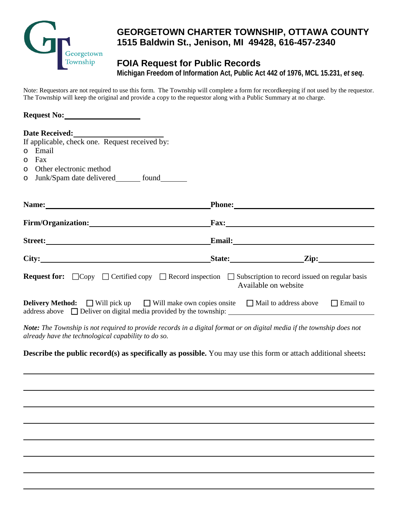

# **GEORGETOWN CHARTER TOWNSHIP, OTTAWA COUNTY 1515 Baldwin St., Jenison, MI 49428, 616-457-2340**

# **FOIA Request for Public Records**

**Michigan Freedom of Information Act, Public Act 442 of 1976, MCL 15.231,** *et seq***.**

Note: Requestors are not required to use this form. The Township will complete a form for recordkeeping if not used by the requestor. The Township will keep the original and provide a copy to the requestor along with a Public Summary at no charge.

| Request No: 1998                                                                                                                                                              |                      |
|-------------------------------------------------------------------------------------------------------------------------------------------------------------------------------|----------------------|
| Date Received:<br><u> </u><br>If applicable, check one. Request received by:                                                                                                  |                      |
| o Email                                                                                                                                                                       |                      |
| Fax<br>O                                                                                                                                                                      |                      |
| Other electronic method<br>O                                                                                                                                                  |                      |
| o Junk/Spam date delivered________ found________                                                                                                                              |                      |
|                                                                                                                                                                               |                      |
| Firm/Organization: Fax: Fax:                                                                                                                                                  |                      |
|                                                                                                                                                                               |                      |
|                                                                                                                                                                               |                      |
| <b>Request for:</b> $\Box$ Copy $\Box$ Certified copy $\Box$ Record inspection $\Box$ Subscription to record issued on regular basis                                          | Available on website |
| <b>Delivery Method:</b> $\Box$ Will pick up $\Box$ Will make own copies onsite $\Box$ Mail to address above $\Box$ Email to                                                   |                      |
| Note: The Township is not required to provide records in a digital format or on digital media if the township does not<br>already have the technological capability to do so. |                      |
| <b>Describe the public record(s) as specifically as possible.</b> You may use this form or attach additional sheets:                                                          |                      |
|                                                                                                                                                                               |                      |
|                                                                                                                                                                               |                      |
|                                                                                                                                                                               |                      |
|                                                                                                                                                                               |                      |
|                                                                                                                                                                               |                      |
|                                                                                                                                                                               |                      |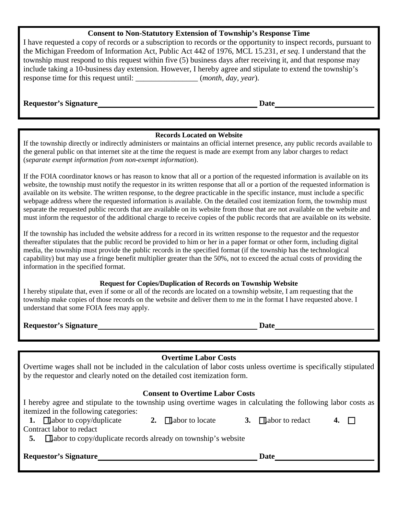#### **Consent to Non-Statutory Extension of Township's Response Time**

I have requested a copy of records or a subscription to records or the opportunity to inspect records, pursuant to the Michigan Freedom of Information Act, Public Act 442 of 1976, MCL 15.231, *et seq*. I understand that the township must respond to this request within five (5) business days after receiving it, and that response may include taking a 10-business day extension. However, I hereby agree and stipulate to extend the township's response time for this request until: \_\_\_\_\_\_\_\_\_\_\_\_\_\_\_\_ (*month, day, year*).

**Requestor's Signature Date**

#### **Records Located on Website**

If the township directly or indirectly administers or maintains an official internet presence, any public records available to the general public on that internet site at the time the request is made are exempt from any labor charges to redact (*separate exempt information from non-exempt information*).

If the FOIA coordinator knows or has reason to know that all or a portion of the requested information is available on its website, the township must notify the requestor in its written response that all or a portion of the requested information is available on its website. The written response, to the degree practicable in the specific instance, must include a specific webpage address where the requested information is available. On the detailed cost itemization form, the township must separate the requested public records that are available on its website from those that are not available on the website and must inform the requestor of the additional charge to receive copies of the public records that are available on its website.

If the township has included the website address for a record in its written response to the requestor and the requestor thereafter stipulates that the public record be provided to him or her in a paper format or other form, including digital media, the township must provide the public records in the specified format (if the township has the technological capability) but may use a fringe benefit multiplier greater than the 50%, not to exceed the actual costs of providing the information in the specified format.

#### **Request for Copies/Duplication of Records on Township Website**

I hereby stipulate that, even if some or all of the records are located on a township website, I am requesting that the township make copies of those records on the website and deliver them to me in the format I have requested above. I understand that some FOIA fees may apply.

**Requestor's Signature Date**

### **Overtime Labor Costs**

Overtime wages shall not be included in the calculation of labor costs unless overtime is specifically stipulated by the requestor and clearly noted on the detailed cost itemization form.

### **Consent to Overtime Labor Costs**

I hereby agree and stipulate to the township using overtime wages in calculating the following labor costs as itemized in the following categories:

| <b>Requestor's Signature</b>                                                                                                               |                          | Date                     |       |  |
|--------------------------------------------------------------------------------------------------------------------------------------------|--------------------------|--------------------------|-------|--|
| <b>1.</b> $\Box$ abor to copy/duplicate<br>Contract labor to redact<br>$\Box$ abor to copy/duplicate records already on township's website | 2. $\Box$ abort o locate | 3. $\Box$ abor to redact | 4. II |  |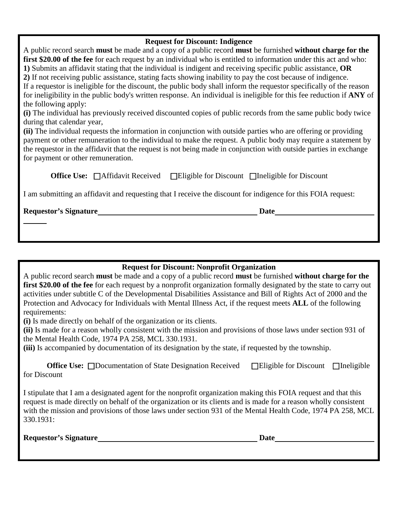#### **Request for Discount: Indigence**

A public record search **must** be made and a copy of a public record **must** be furnished **without charge for the first \$20.00 of the fee** for each request by an individual who is entitled to information under this act and who: **1)** Submits an affidavit stating that the individual is indigent and receiving specific public assistance, **OR 2)** If not receiving public assistance, stating facts showing inability to pay the cost because of indigence. If a requestor is ineligible for the discount, the public body shall inform the requestor specifically of the reason for ineligibility in the public body's written response. An individual is ineligible for this fee reduction if **ANY** of the following apply:

**(i)** The individual has previously received discounted copies of public records from the same public body twice during that calendar year,

**(ii)** The individual requests the information in conjunction with outside parties who are offering or providing payment or other remuneration to the individual to make the request. A public body may require a statement by the requestor in the affidavit that the request is not being made in conjunction with outside parties in exchange for payment or other remuneration.

**Office Use:** □Affidavit Received □Eligible for Discount □Ineligible for Discount

I am submitting an affidavit and requesting that I receive the discount for indigence for this FOIA request:

**Requestor's Signature Date**

**Request for Discount: Nonprofit Organization**

A public record search **must** be made and a copy of a public record **must** be furnished **without charge for the first \$20.00 of the fee** for each request by a nonprofit organization formally designated by the state to carry out activities under subtitle C of the Developmental Disabilities Assistance and Bill of Rights Act of 2000 and the Protection and Advocacy for Individuals with Mental Illness Act, if the request meets **ALL** of the following requirements:

**(i)** Is made directly on behalf of the organization or its clients.

**(ii)** Is made for a reason wholly consistent with the mission and provisions of those laws under section 931 of the Mental Health Code, 1974 PA 258, MCL 330.1931.

**(iii)** Is accompanied by documentation of its designation by the state, if requested by the township.

**Office Use:** □Documentation of State Designation Received □Eligible for Discount □Ineligible for Discount

I stipulate that I am a designated agent for the nonprofit organization making this FOIA request and that this request is made directly on behalf of the organization or its clients and is made for a reason wholly consistent with the mission and provisions of those laws under section 931 of the Mental Health Code, 1974 PA 258, MCL 330.1931:

**Requestor's Signature Date**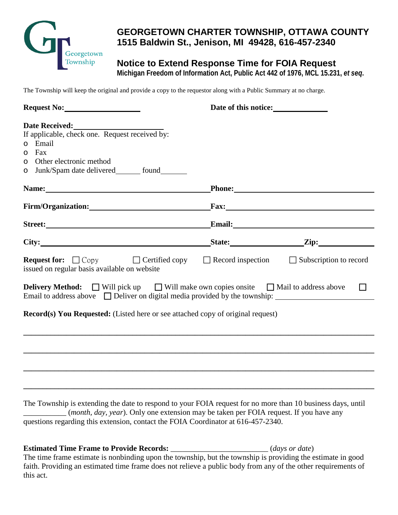

# **GEORGETOWN CHARTER TOWNSHIP, OTTAWA COUNTY 1515 Baldwin St., Jenison, MI 49428, 616-457-2340**

# **Notice to Extend Response Time for FOIA Request**

**Michigan Freedom of Information Act, Public Act 442 of 1976, MCL 15.231,** *et seq***.**

The Township will keep the original and provide a copy to the requestor along with a Public Summary at no charge.

| Request No:                                                                                                                                                                                                                         | Date of this notice:                                                                                                                                                                                                           |        |
|-------------------------------------------------------------------------------------------------------------------------------------------------------------------------------------------------------------------------------------|--------------------------------------------------------------------------------------------------------------------------------------------------------------------------------------------------------------------------------|--------|
|                                                                                                                                                                                                                                     |                                                                                                                                                                                                                                |        |
| Date Received:<br>If applicable, check one. Request received by:                                                                                                                                                                    |                                                                                                                                                                                                                                |        |
| o Email                                                                                                                                                                                                                             |                                                                                                                                                                                                                                |        |
| Fax<br>$\circ$                                                                                                                                                                                                                      |                                                                                                                                                                                                                                |        |
| Other electronic method<br>O                                                                                                                                                                                                        |                                                                                                                                                                                                                                |        |
| o Junk/Spam date delivered ________ found                                                                                                                                                                                           |                                                                                                                                                                                                                                |        |
| Name: Name and the set of the set of the set of the set of the set of the set of the set of the set of the set of the set of the set of the set of the set of the set of the set of the set of the set of the set of the set o      | Phone: New York Changes and School Changes and School Changes and School Changes and School Changes and School Changes and School Changes and School Changes and School Changes and School Changes and School Changes and Scho |        |
| Firm/Organization: Fax: Fax:                                                                                                                                                                                                        |                                                                                                                                                                                                                                |        |
| Street: Email: Email:                                                                                                                                                                                                               |                                                                                                                                                                                                                                |        |
| City: <u>City:</u> City: City: City: City: City: City: City: City: City: City: City: City: City: City: City: City: City: City: City: City: City: City: City: City: City: City: City: City: City: City: City: City: City: City: City |                                                                                                                                                                                                                                |        |
| <b>Request for:</b> $\Box$ Copy $\Box$ Certified copy $\Box$ Record inspection $\Box$ Subscription to record<br>issued on regular basis available on website                                                                        |                                                                                                                                                                                                                                |        |
| <b>Delivery Method:</b> $\Box$ Will pick up $\Box$ Will make own copies onsite $\Box$ Mail to address above                                                                                                                         |                                                                                                                                                                                                                                | $\Box$ |
| <b>Record(s) You Requested:</b> (Listed here or see attached copy of original request)                                                                                                                                              |                                                                                                                                                                                                                                |        |
| ,我们也不能在这里的时候,我们也不能在这里的时候,我们也不能在这里的时候,我们也不能会在这里的时候,我们也不能会在这里的时候,我们也不能会在这里的时候,我们也不能                                                                                                                                                   |                                                                                                                                                                                                                                |        |
|                                                                                                                                                                                                                                     |                                                                                                                                                                                                                                |        |
|                                                                                                                                                                                                                                     |                                                                                                                                                                                                                                |        |

The Township is extending the date to respond to your FOIA request for no more than 10 business days, until (*month, day, year*). Only one extension may be taken per FOIA request. If you have any questions regarding this extension, contact the FOIA Coordinator at 616-457-2340.

**\_\_\_\_\_\_\_\_\_\_\_\_\_\_\_\_\_\_\_\_\_\_\_\_\_\_\_\_\_\_\_\_\_\_\_\_\_\_\_\_\_\_\_\_\_\_\_\_\_\_\_\_\_\_\_\_\_\_\_\_\_\_\_\_\_\_\_\_\_\_\_\_\_\_\_\_\_\_\_\_\_\_\_\_\_\_\_\_\_\_**

#### **Estimated Time Frame to Provide Records:** \_\_\_\_\_\_\_\_\_\_\_\_\_\_\_\_\_\_\_\_\_\_\_\_\_ (*days or date*)

The time frame estimate is nonbinding upon the township, but the township is providing the estimate in good faith. Providing an estimated time frame does not relieve a public body from any of the other requirements of this act.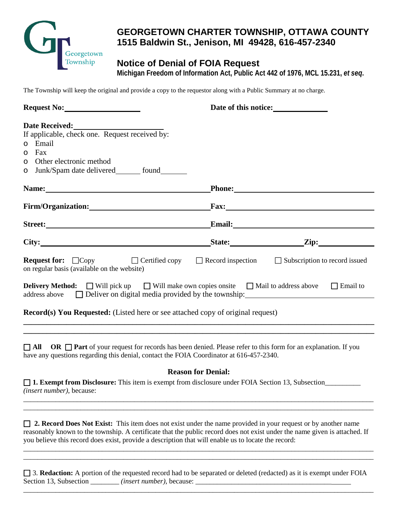

# **GEORGETOWN CHARTER TOWNSHIP, OTTAWA COUNTY 1515 Baldwin St., Jenison, MI 49428, 616-457-2340**

# **Notice of Denial of FOIA Request**

**Michigan Freedom of Information Act, Public Act 442 of 1976, MCL 15.231,** *et seq***.**

The Township will keep the original and provide a copy to the requestor along with a Public Summary at no charge.

| Date Received:<br><u> Letter and the set of the set of the set of the set of the set of the set of the set of the set of the set of the set of the set of the set of the set of the set of the set of the set of the set of the se</u> |                      |
|----------------------------------------------------------------------------------------------------------------------------------------------------------------------------------------------------------------------------------------|----------------------|
| If applicable, check one. Request received by:                                                                                                                                                                                         |                      |
| o Email                                                                                                                                                                                                                                |                      |
| Fax<br>$\circ$<br>Other electronic method<br>$\circ$                                                                                                                                                                                   |                      |
| o Junk/Spam date delivered ________ found                                                                                                                                                                                              |                      |
| Name: Name and the set of the set of the set of the set of the set of the set of the set of the set of the set of the set of the set of the set of the set of the set of the set of the set of the set of the set of the set o         |                      |
| Firm/Organization: National Contract of Security Contract of Security Contract of Security Contract of Security Contract of Security Contract of Security Contract of Security Contract of Security Contract of Security Contr         | $\Gamma$ Fax:        |
| Street:                                                                                                                                                                                                                                | <b>Email:</b> Email: |
| City:                                                                                                                                                                                                                                  | State: <u>Zip:</u>   |
| <b>Request for:</b> $\Box$ Copy $\Box$ $\Box$ Certified copy $\Box$ Record inspection $\Box$ Subscription to record issued<br>on regular basis (available on the website)                                                              |                      |
| <b>Delivery Method:</b> $\Box$ Will pick up $\Box$ Will make own copies onsite $\Box$ Mail to address above<br>$address above$ Deliver on digital media provided by the township:                                                      | $\Box$ Email to      |
| <b>Record(s) You Requested:</b> (Listed here or see attached copy of original request)                                                                                                                                                 |                      |
|                                                                                                                                                                                                                                        |                      |

**All OR Part** of your request for records has been denied. Please refer to this form for an explanation. If you have any questions regarding this denial, contact the FOIA Coordinator at 616-457-2340.

#### **Reason for Denial:**

\_\_\_\_\_\_\_\_\_\_\_\_\_\_\_\_\_\_\_\_\_\_\_\_\_\_\_\_\_\_\_\_\_\_\_\_\_\_\_\_\_\_\_\_\_\_\_\_\_\_\_\_\_\_\_\_\_\_\_\_\_\_\_\_\_\_\_\_\_\_\_\_\_\_\_\_\_\_\_\_\_\_\_\_\_\_\_\_\_\_\_\_\_\_\_\_\_\_ \_\_\_\_\_\_\_\_\_\_\_\_\_\_\_\_\_\_\_\_\_\_\_\_\_\_\_\_\_\_\_\_\_\_\_\_\_\_\_\_\_\_\_\_\_\_\_\_\_\_\_\_\_\_\_\_\_\_\_\_\_\_\_\_\_\_\_\_\_\_\_\_\_\_\_\_\_\_\_\_\_\_\_\_\_\_\_\_\_\_\_\_\_\_\_\_\_\_

 **1. Exempt from Disclosure:** This item is exempt from disclosure under FOIA Section 13, Subsection\_\_\_\_\_\_\_\_\_\_ *(insert number)*, because:

 **2. Record Does Not Exist:** This item does not exist under the name provided in your request or by another name reasonably known to the township. A certificate that the public record does not exist under the name given is attached. If you believe this record does exist, provide a description that will enable us to locate the record:

\_\_\_\_\_\_\_\_\_\_\_\_\_\_\_\_\_\_\_\_\_\_\_\_\_\_\_\_\_\_\_\_\_\_\_\_\_\_\_\_\_\_\_\_\_\_\_\_\_\_\_\_\_\_\_\_\_\_\_\_\_\_\_\_\_\_\_\_\_\_\_\_\_\_\_\_\_\_\_\_\_\_\_\_\_\_\_\_\_\_\_\_\_\_\_\_\_\_ \_\_\_\_\_\_\_\_\_\_\_\_\_\_\_\_\_\_\_\_\_\_\_\_\_\_\_\_\_\_\_\_\_\_\_\_\_\_\_\_\_\_\_\_\_\_\_\_\_\_\_\_\_\_\_\_\_\_\_\_\_\_\_\_\_\_\_\_\_\_\_\_\_\_\_\_\_\_\_\_\_\_\_\_\_\_\_\_\_\_\_\_\_\_\_\_\_\_

 3. **Redaction:** A portion of the requested record had to be separated or deleted (redacted) as it is exempt under FOIA Section 13, Subsection \_\_\_\_\_\_\_\_ *(insert number)*, because: \_\_\_\_\_\_\_\_\_\_\_\_\_\_\_\_\_\_\_\_\_\_\_\_\_\_\_\_\_\_\_\_\_\_\_\_\_\_

\_\_\_\_\_\_\_\_\_\_\_\_\_\_\_\_\_\_\_\_\_\_\_\_\_\_\_\_\_\_\_\_\_\_\_\_\_\_\_\_\_\_\_\_\_\_\_\_\_\_\_\_\_\_\_\_\_\_\_\_\_\_\_\_\_\_\_\_\_\_\_\_\_\_\_\_\_\_\_\_\_\_\_\_\_\_\_\_\_\_\_\_\_\_\_\_\_\_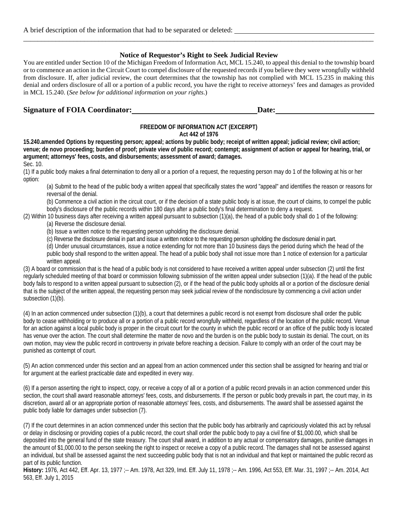#### **Notice of Requestor's Right to Seek Judicial Review**

\_\_\_\_\_\_\_\_\_\_\_\_\_\_\_\_\_\_\_\_\_\_\_\_\_\_\_\_\_\_\_\_\_\_\_\_\_\_\_\_\_\_\_\_\_\_\_\_\_\_\_\_\_\_\_\_\_\_\_\_\_\_\_\_\_\_\_\_\_\_\_\_\_\_\_\_\_\_\_\_\_\_\_\_\_\_\_\_\_\_\_\_\_\_\_\_\_\_

You are entitled under Section 10 of the Michigan Freedom of Information Act, MCL 15.240, to appeal this denial to the township board or to commence an action in the Circuit Court to compel disclosure of the requested records if you believe they were wrongfully withheld from disclosure. If, after judicial review, the court determines that the township has not complied with MCL 15.235 in making this denial and orders disclosure of all or a portion of a public record, you have the right to receive attorneys' fees and damages as provided in MCL 15.240. (*See below for additional information on your rights*.)

#### **Signature of FOIA** Coordinator: **Date:** Date: **Date: Date: Date: Date: Date: Date: Date: Date: Date: Date: Date: Date: Date: Date: Date: Date: Date: Date: Date: Date: Date: Date:**

## **FREEDOM OF INFORMATION ACT (EXCERPT)**

#### **Act 442 of 1976**

**15.240.amended Options by requesting person; appeal; actions by public body; receipt of written appeal; judicial review; civil action; venue; de novo proceeding; burden of proof; private view of public record; contempt; assignment of action or appeal for hearing, trial, or argument; attorneys' fees, costs, and disbursements; assessment of award; damages.** Sec. 10.

(1) If a public body makes a final determination to deny all or a portion of a request, the requesting person may do 1 of the following at his or her option:

(a) Submit to the head of the public body a written appeal that specifically states the word "appeal" and identifies the reason or reasons for reversal of the denial.

(b) Commence a civil action in the circuit court, or if the decision of a state public body is at issue, the court of claims, to compel the public body's disclosure of the public records within 180 days after a public body's final determination to deny a request.

(2) Within 10 business days after receiving a written appeal pursuant to subsection (1)(a), the head of a public body shall do 1 of the following:

(a) Reverse the disclosure denial.

(b) Issue a written notice to the requesting person upholding the disclosure denial.

(c) Reverse the disclosure denial in part and issue a written notice to the requesting person upholding the disclosure denial in part.

(d) Under unusual circumstances, issue a notice extending for not more than 10 business days the period during which the head of the public body shall respond to the written appeal. The head of a public body shall not issue more than 1 notice of extension for a particular written appeal.

(3) A board or commission that is the head of a public body is not considered to have received a written appeal under subsection (2) until the first regularly scheduled meeting of that board or commission following submission of the written appeal under subsection (1)(a). If the head of the public body fails to respond to a written appeal pursuant to subsection (2), or if the head of the public body upholds all or a portion of the disclosure denial that is the subject of the written appeal, the requesting person may seek judicial review of the nondisclosure by commencing a civil action under subsection (1)(b).

(4) In an action commenced under subsection (1)(b), a court that determines a public record is not exempt from disclosure shall order the public body to cease withholding or to produce all or a portion of a public record wrongfully withheld, regardless of the location of the public record. Venue for an action against a local public body is proper in the circuit court for the county in which the public record or an office of the public body is located has venue over the action. The court shall determine the matter de novo and the burden is on the public body to sustain its denial. The court, on its own motion, may view the public record in controversy in private before reaching a decision. Failure to comply with an order of the court may be punished as contempt of court.

(5) An action commenced under this section and an appeal from an action commenced under this section shall be assigned for hearing and trial or for argument at the earliest practicable date and expedited in every way.

(6) If a person asserting the right to inspect, copy, or receive a copy of all or a portion of a public record prevails in an action commenced under this section, the court shall award reasonable attorneys' fees, costs, and disbursements. If the person or public body prevails in part, the court may, in its discretion, award all or an appropriate portion of reasonable attorneys' fees, costs, and disbursements. The award shall be assessed against the public body liable for damages under subsection (7).

(7) If the court determines in an action commenced under this section that the public body has arbitrarily and capriciously violated this act by refusal or delay in disclosing or providing copies of a public record, the court shall order the public body to pay a civil fine of \$1,000.00, which shall be deposited into the general fund of the state treasury. The court shall award, in addition to any actual or compensatory damages, punitive damages in the amount of \$1,000.00 to the person seeking the right to inspect or receive a copy of a public record. The damages shall not be assessed against an individual, but shall be assessed against the next succeeding public body that is not an individual and that kept or maintained the public record as part of its public function.

**History:** 1976, Act 442, Eff. Apr. 13, 1977 ;-- Am. 1978, Act 329, Imd. Eff. July 11, 1978 ;-- Am. 1996, Act 553, Eff. Mar. 31, 1997 ;-- Am. 2014, Act 563, Eff. July 1, 2015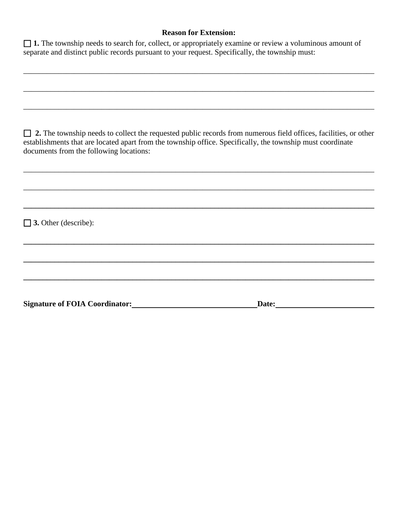#### **Reason for Extension:**

\_\_\_\_\_\_\_\_\_\_\_\_\_\_\_\_\_\_\_\_\_\_\_\_\_\_\_\_\_\_\_\_\_\_\_\_\_\_\_\_\_\_\_\_\_\_\_\_\_\_\_\_\_\_\_\_\_\_\_\_\_\_\_\_\_\_\_\_\_\_\_\_\_\_\_\_\_\_\_\_\_\_\_\_\_\_\_\_\_\_

| $\Box$ 1. The township needs to search for, collect, or appropriately examine or review a voluminous amount of |  |  |
|----------------------------------------------------------------------------------------------------------------|--|--|
| separate and distinct public records pursuant to your request. Specifically, the township must:                |  |  |

| $\Box$ 2. The township needs to collect the requested public records from numerous field offices, facilities, or other |
|------------------------------------------------------------------------------------------------------------------------|
| establishments that are located apart from the township office. Specifically, the township must coordinate             |
| documents from the following locations:                                                                                |

\_\_\_\_\_\_\_\_\_\_\_\_\_\_\_\_\_\_\_\_\_\_\_\_\_\_\_\_\_\_\_\_\_\_\_\_\_\_\_\_\_\_\_\_\_\_\_\_\_\_\_\_\_\_\_\_\_\_\_\_\_\_\_\_\_\_\_\_\_\_\_\_\_\_\_\_\_\_\_\_\_\_\_\_\_\_\_\_\_\_

\_\_\_\_\_\_\_\_\_\_\_\_\_\_\_\_\_\_\_\_\_\_\_\_\_\_\_\_\_\_\_\_\_\_\_\_\_\_\_\_\_\_\_\_\_\_\_\_\_\_\_\_\_\_\_\_\_\_\_\_\_\_\_\_\_\_\_\_\_\_\_\_\_\_\_\_\_\_\_\_\_\_\_\_\_\_\_\_\_\_

**\_\_\_\_\_\_\_\_\_\_\_\_\_\_\_\_\_\_\_\_\_\_\_\_\_\_\_\_\_\_\_\_\_\_\_\_\_\_\_\_\_\_\_\_\_\_\_\_\_\_\_\_\_\_\_\_\_\_\_\_\_\_\_\_\_\_\_\_\_\_\_\_\_\_\_\_\_\_\_\_\_\_\_\_\_\_\_\_\_\_**

**\_\_\_\_\_\_\_\_\_\_\_\_\_\_\_\_\_\_\_\_\_\_\_\_\_\_\_\_\_\_\_\_\_\_\_\_\_\_\_\_\_\_\_\_\_\_\_\_\_\_\_\_\_\_\_\_\_\_\_\_\_\_\_\_\_\_\_\_\_\_\_\_\_\_\_\_\_\_\_\_\_\_\_\_\_\_\_\_\_\_**

**\_\_\_\_\_\_\_\_\_\_\_\_\_\_\_\_\_\_\_\_\_\_\_\_\_\_\_\_\_\_\_\_\_\_\_\_\_\_\_\_\_\_\_\_\_\_\_\_\_\_\_\_\_\_\_\_\_\_\_\_\_\_\_\_\_\_\_\_\_\_\_\_\_\_\_\_\_\_\_\_\_\_\_\_\_\_\_\_\_\_**

**\_\_\_\_\_\_\_\_\_\_\_\_\_\_\_\_\_\_\_\_\_\_\_\_\_\_\_\_\_\_\_\_\_\_\_\_\_\_\_\_\_\_\_\_\_\_\_\_\_\_\_\_\_\_\_\_\_\_\_\_\_\_\_\_\_\_\_\_\_\_\_\_\_\_\_\_\_\_\_\_\_\_\_\_\_\_\_\_\_\_**

\_\_\_\_\_\_\_\_\_\_\_\_\_\_\_\_\_\_\_\_\_\_\_\_\_\_\_\_\_\_\_\_\_\_\_\_\_\_\_\_\_\_\_\_\_\_\_\_\_\_\_\_\_\_\_\_\_\_\_\_\_\_\_\_\_\_\_\_\_\_\_\_\_\_\_\_\_\_\_\_\_\_\_\_\_\_\_\_\_\_

\_\_\_\_\_\_\_\_\_\_\_\_\_\_\_\_\_\_\_\_\_\_\_\_\_\_\_\_\_\_\_\_\_\_\_\_\_\_\_\_\_\_\_\_\_\_\_\_\_\_\_\_\_\_\_\_\_\_\_\_\_\_\_\_\_\_\_\_\_\_\_\_\_\_\_\_\_\_\_\_\_\_\_\_\_\_\_\_\_\_

 **3.** Other (describe):

Signature of FOIA Coordinator: **Date:** Date: **Date: Date: Date: Date: Date: Date: Date: Date: Date: Date: Date: Date: Date: Date: Date: Date: Date: Date: Date: Date: Date: Date:**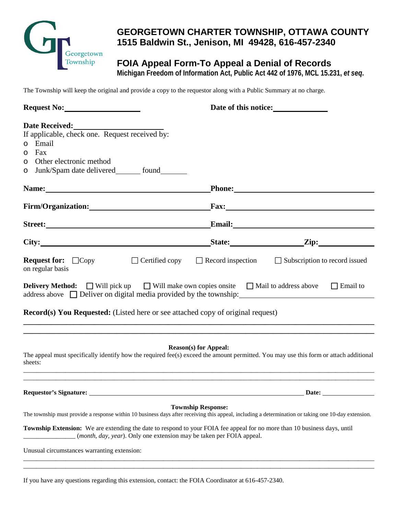

# **GEORGETOWN CHARTER TOWNSHIP, OTTAWA COUNTY 1515 Baldwin St., Jenison, MI 49428, 616-457-2340**

# **FOIA Appeal Form-To Appeal a Denial of Records**

**Michigan Freedom of Information Act, Public Act 442 of 1976, MCL 15.231,** *et seq***.**

The Township will keep the original and provide a copy to the requestor along with a Public Summary at no charge.

| Request No:                                                                                                                                                                                                                                                                                                                                              |                              | Date of this notice:<br><u>Letting</u>                                              |
|----------------------------------------------------------------------------------------------------------------------------------------------------------------------------------------------------------------------------------------------------------------------------------------------------------------------------------------------------------|------------------------------|-------------------------------------------------------------------------------------|
| Date Received:<br>If applicable, check one. Request received by:<br>o Email<br>Fax<br>$\circ$<br>Other electronic method<br>$\circ$<br>Junk/Spam date delivered________ found________<br>O                                                                                                                                                               |                              |                                                                                     |
|                                                                                                                                                                                                                                                                                                                                                          |                              |                                                                                     |
| Firm/Organization: Fax: Fax:                                                                                                                                                                                                                                                                                                                             |                              |                                                                                     |
| Street: Email: Email:                                                                                                                                                                                                                                                                                                                                    |                              |                                                                                     |
|                                                                                                                                                                                                                                                                                                                                                          |                              | State: <u>Zip:</u>                                                                  |
| <b>Request for:</b> $\Box$ Copy<br>on regular basis                                                                                                                                                                                                                                                                                                      |                              | $\Box$ Certified copy $\Box$ Record inspection $\Box$ Subscription to record issued |
| <b>Delivery Method:</b> $\Box$ Will pick up $\Box$ Will make own copies onsite $\Box$ Mail to address above $\Box$ Email to<br>$address above$ $\Box$ Deliver on digital media provided by the township:                                                                                                                                                 |                              |                                                                                     |
| <b>Record(s) You Requested:</b> (Listed here or see attached copy of original request)<br>,我们也不能会有什么。""我们的人,我们也不能会有什么?""我们的人,我们也不能会有什么?""我们的人,我们也不能会有什么?""我们的人,我们也不能会有什么?""                                                                                                                                                                              |                              |                                                                                     |
| ,我们也不能在这里的时候,我们也不能在这里的时候,我们也不能会在这里的时候,我们也不能会在这里的时候,我们也不能会在这里的时候,我们也不能会在这里的时候,我们也不<br>The appeal must specifically identify how the required fee(s) exceed the amount permitted. You may use this form or attach additional<br>sheets:                                                                                                                    | <b>Reason(s)</b> for Appeal: |                                                                                     |
| <b>Requestor's Signature:</b>                                                                                                                                                                                                                                                                                                                            |                              | Date:                                                                               |
| The township must provide a response within 10 business days after receiving this appeal, including a determination or taking one 10-day extension.<br>Township Extension: We are extending the date to respond to your FOIA fee appeal for no more than 10 business days, until<br>(month, day, year). Only one extension may be taken per FOIA appeal. | <b>Township Response:</b>    |                                                                                     |
| Unusual circumstances warranting extension:                                                                                                                                                                                                                                                                                                              |                              |                                                                                     |

\_\_\_\_\_\_\_\_\_\_\_\_\_\_\_\_\_\_\_\_\_\_\_\_\_\_\_\_\_\_\_\_\_\_\_\_\_\_\_\_\_\_\_\_\_\_\_\_\_\_\_\_\_\_\_\_\_\_\_\_\_\_\_\_\_\_\_\_\_\_\_\_\_\_\_\_\_\_\_\_\_\_\_\_\_\_\_\_\_\_\_\_\_\_\_\_\_\_\_\_\_\_\_\_\_\_\_\_

If you have any questions regarding this extension, contact: the FOIA Coordinator at 616-457-2340.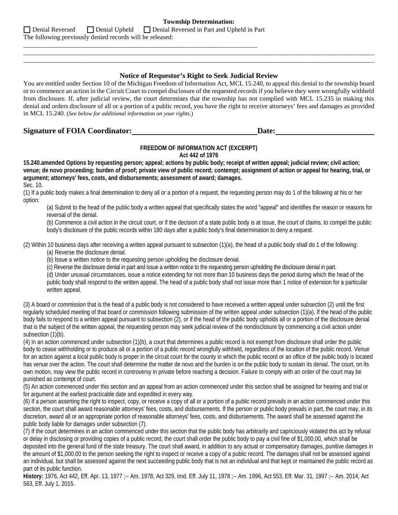|                                                           | <b>Township Determination:</b>                                                 |
|-----------------------------------------------------------|--------------------------------------------------------------------------------|
|                                                           | □ Denial Reversed □ Denial Upheld □ Denial Reversed in Part and Upheld in Part |
| The following previously denied records will be released: |                                                                                |

\_\_\_\_\_\_\_\_\_\_\_\_\_\_\_\_\_\_\_\_\_\_\_\_\_\_\_\_\_\_\_\_\_\_\_\_\_\_\_\_\_\_\_\_\_\_\_\_\_\_\_\_\_\_\_\_\_\_\_\_\_\_\_\_\_\_\_\_\_\_\_\_

#### **Notice of Requestor's Right to Seek Judicial Review**

\_\_\_\_\_\_\_\_\_\_\_\_\_\_\_\_\_\_\_\_\_\_\_\_\_\_\_\_\_\_\_\_\_\_\_\_\_\_\_\_\_\_\_\_\_\_\_\_\_\_\_\_\_\_\_\_\_\_\_\_\_\_\_\_\_\_\_\_\_\_\_\_\_\_\_\_\_\_\_\_\_\_\_\_\_\_\_\_\_\_\_\_\_\_\_\_\_\_\_\_\_\_\_\_\_\_\_\_ \_\_\_\_\_\_\_\_\_\_\_\_\_\_\_\_\_\_\_\_\_\_\_\_\_\_\_\_\_\_\_\_\_\_\_\_\_\_\_\_\_\_\_\_\_\_\_\_\_\_\_\_\_\_\_\_\_\_\_\_\_\_\_\_\_\_\_\_\_\_\_\_\_\_\_\_\_\_\_\_\_\_\_\_\_\_\_\_\_\_\_\_\_\_\_\_\_\_\_\_\_\_\_\_\_\_\_\_

You are entitled under Section 10 of the Michigan Freedom of Information Act, MCL 15.240, to appeal this denial to the township board or to commence an action in the Circuit Court to compel disclosure of the requested records if you believe they were wrongfully withheld from disclosure. If, after judicial review, the court determines that the township has not complied with MCL 15.235 in making this denial and orders disclosure of all or a portion of a public record, you have the right to receive attorneys' fees and damages as provided in MCL 15.240. (*See below for additional information on your rights*.)

#### **Signature of FOIA Coordinator: Date:**

#### **FREEDOM OF INFORMATION ACT (EXCERPT)**

**Act 442 of 1976**

**15.240.amended Options by requesting person; appeal; actions by public body; receipt of written appeal; judicial review; civil action; venue; de novo proceeding; burden of proof; private view of public record; contempt; assignment of action or appeal for hearing, trial, or argument; attorneys' fees, costs, and disbursements; assessment of award; damages.** Sec. 10.

(1) If a public body makes a final determination to deny all or a portion of a request, the requesting person may do 1 of the following at his or her option:

(a) Submit to the head of the public body a written appeal that specifically states the word "appeal" and identifies the reason or reasons for reversal of the denial.

(b) Commence a civil action in the circuit court, or if the decision of a state public body is at issue, the court of claims, to compel the public body's disclosure of the public records within 180 days after a public body's final determination to deny a request.

(2) Within 10 business days after receiving a written appeal pursuant to subsection (1)(a), the head of a public body shall do 1 of the following:

(a) Reverse the disclosure denial.

(b) Issue a written notice to the requesting person upholding the disclosure denial.

(c) Reverse the disclosure denial in part and issue a written notice to the requesting person upholding the disclosure denial in part.

(d) Under unusual circumstances, issue a notice extending for not more than 10 business days the period during which the head of the public body shall respond to the written appeal. The head of a public body shall not issue more than 1 notice of extension for a particular written appeal.

(3) A board or commission that is the head of a public body is not considered to have received a written appeal under subsection (2) until the first regularly scheduled meeting of that board or commission following submission of the written appeal under subsection (1)(a). If the head of the public body fails to respond to a written appeal pursuant to subsection (2), or if the head of the public body upholds all or a portion of the disclosure denial that is the subject of the written appeal, the requesting person may seek judicial review of the nondisclosure by commencing a civil action under subsection (1)(b).

(4) In an action commenced under subsection (1)(b), a court that determines a public record is not exempt from disclosure shall order the public body to cease withholding or to produce all or a portion of a public record wrongfully withheld, regardless of the location of the public record. Venue for an action against a local public body is proper in the circuit court for the county in which the public record or an office of the public body is located has venue over the action. The court shall determine the matter de novo and the burden is on the public body to sustain its denial. The court, on its own motion, may view the public record in controversy in private before reaching a decision. Failure to comply with an order of the court may be punished as contempt of court.

(5) An action commenced under this section and an appeal from an action commenced under this section shall be assigned for hearing and trial or for argument at the earliest practicable date and expedited in every way.

(6) If a person asserting the right to inspect, copy, or receive a copy of all or a portion of a public record prevails in an action commenced under this section, the court shall award reasonable attorneys' fees, costs, and disbursements. If the person or public body prevails in part, the court may, in its discretion, award all or an appropriate portion of reasonable attorneys' fees, costs, and disbursements. The award shall be assessed against the public body liable for damages under subsection (7).

(7) If the court determines in an action commenced under this section that the public body has arbitrarily and capriciously violated this act by refusal or delay in disclosing or providing copies of a public record, the court shall order the public body to pay a civil fine of \$1,000.00, which shall be deposited into the general fund of the state treasury. The court shall award, in addition to any actual or compensatory damages, punitive damages in the amount of \$1,000.00 to the person seeking the right to inspect or receive a copy of a public record. The damages shall not be assessed against an individual, but shall be assessed against the next succeeding public body that is not an individual and that kept or maintained the public record as part of its public function.

**History:** 1976, Act 442, Eff. Apr. 13, 1977 ;-- Am. 1978, Act 329, Imd. Eff. July 11, 1978 ;-- Am. 1996, Act 553, Eff. Mar. 31, 1997 ;-- Am. 2014, Act 563, Eff. July 1, 2015.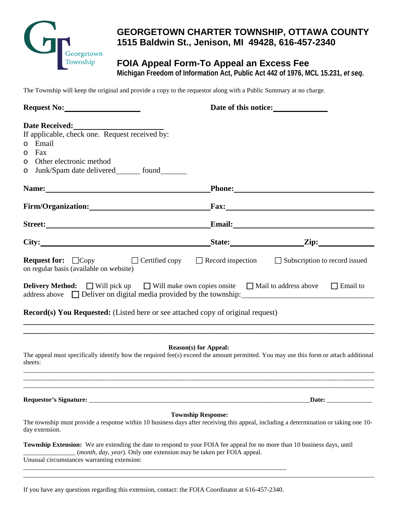

# **GEORGETOWN CHARTER TOWNSHIP, OTTAWA COUNTY 1515 Baldwin St., Jenison, MI 49428, 616-457-2340**

# **FOIA Appeal Form-To Appeal an Excess Fee**

**Michigan Freedom of Information Act, Public Act 442 of 1976, MCL 15.231,** *et seq***.**

The Township will keep the original and provide a copy to the requestor along with a Public Summary at no charge.

| Request No:                                                                                                                                                                                                                                                      |                              | Date of this notice:<br><u>Letting</u>                                                                                                                                                                                               |
|------------------------------------------------------------------------------------------------------------------------------------------------------------------------------------------------------------------------------------------------------------------|------------------------------|--------------------------------------------------------------------------------------------------------------------------------------------------------------------------------------------------------------------------------------|
| Date Received:<br>If applicable, check one. Request received by:<br>o Email<br>Fax<br>$\circ$<br>Other electronic method<br>O<br>Junk/Spam date delivered________ found________<br>O                                                                             |                              |                                                                                                                                                                                                                                      |
|                                                                                                                                                                                                                                                                  |                              | Phone: <u>International Contract of the Second Contract of the Second Contract of the Second Contract of the Second Contract of the Second Contract of the Second Contract of the Second Contract of the Second Contract of the </u> |
| Firm/Organization: Fax: Fax:                                                                                                                                                                                                                                     |                              |                                                                                                                                                                                                                                      |
| Street: Email: Email: Email: Email: Email: Email: Email: Email: Email: Email: Email: Email: Email: Email: Email: Email: Email: Email: Email: Email: Email: Email: Email: Email: Email: Email: Email: Email: Email: Email: Emai                                   |                              |                                                                                                                                                                                                                                      |
| City: <u>City:</u> City: City: City: City: City: City: City: City: City: City: City: City: City: City: City: City: City: City: City: City: City: City: City: City: City: City: City: City: City: City: City: City: City: City: City                              |                              |                                                                                                                                                                                                                                      |
| on regular basis (available on website)<br><b>Delivery Method:</b> $\Box$ Will pick up $\Box$ Will make own copies onsite $\Box$ Mail to address above $\Box$ Email to<br><b>Record(s) You Requested:</b> (Listed here or see attached copy of original request) |                              |                                                                                                                                                                                                                                      |
| The appeal must specifically identify how the required fee(s) exceed the amount permitted. You may use this form or attach additional<br>sheets:                                                                                                                 | <b>Reason(s)</b> for Appeal: |                                                                                                                                                                                                                                      |
|                                                                                                                                                                                                                                                                  |                              | Date: _______________                                                                                                                                                                                                                |
| The township must provide a response within 10 business days after receiving this appeal, including a determination or taking one 10-<br>day extension.                                                                                                          | <b>Township Response:</b>    |                                                                                                                                                                                                                                      |
| Township Extension: We are extending the date to respond to your FOIA fee appeal for no more than 10 business days, until<br>(month, day, year). Only one extension may be taken per FOIA appeal.<br>Unusual circumstances warranting extension:                 |                              |                                                                                                                                                                                                                                      |

\_\_\_\_\_\_\_\_\_\_\_\_\_\_\_\_\_\_\_\_\_\_\_\_\_\_\_\_\_\_\_\_\_\_\_\_\_\_\_\_\_\_\_\_\_\_\_\_\_\_\_\_\_\_\_\_\_\_\_\_\_\_\_\_\_\_\_\_\_\_\_\_\_\_\_\_\_\_\_\_\_\_\_\_\_\_\_\_\_\_\_\_\_\_\_\_\_\_\_\_\_\_\_\_\_\_\_\_

If you have any questions regarding this extension, contact: the FOIA Coordinator at 616-457-2340.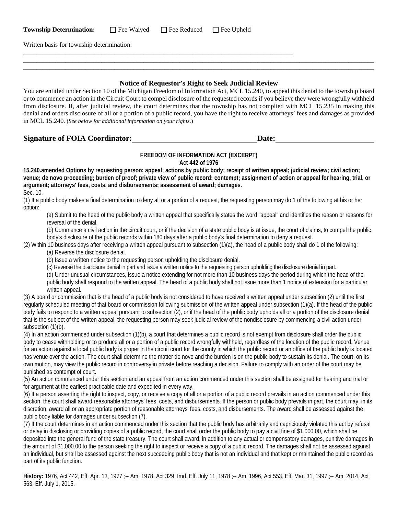| <b>Township Determination:</b> | Fee Waived | $\Box$ Fee Reduced | $\Box$ Fee Upheld |
|--------------------------------|------------|--------------------|-------------------|
|--------------------------------|------------|--------------------|-------------------|

\_\_\_\_\_\_\_\_\_\_\_\_\_\_\_\_\_\_\_\_\_\_\_\_\_\_\_\_\_\_\_\_\_\_\_\_\_\_\_\_\_\_\_\_\_\_\_\_\_\_\_\_\_\_\_\_\_\_\_\_\_\_\_\_\_\_\_\_\_\_\_\_\_\_\_\_\_\_\_\_\_\_\_

Written basis for township determination:

#### **Notice of Requestor's Right to Seek Judicial Review**

\_\_\_\_\_\_\_\_\_\_\_\_\_\_\_\_\_\_\_\_\_\_\_\_\_\_\_\_\_\_\_\_\_\_\_\_\_\_\_\_\_\_\_\_\_\_\_\_\_\_\_\_\_\_\_\_\_\_\_\_\_\_\_\_\_\_\_\_\_\_\_\_\_\_\_\_\_\_\_\_\_\_\_\_\_\_\_\_\_\_\_\_\_\_\_\_\_\_\_\_\_\_\_\_\_\_\_\_ \_\_\_\_\_\_\_\_\_\_\_\_\_\_\_\_\_\_\_\_\_\_\_\_\_\_\_\_\_\_\_\_\_\_\_\_\_\_\_\_\_\_\_\_\_\_\_\_\_\_\_\_\_\_\_\_\_\_\_\_\_\_\_\_\_\_\_\_\_\_\_\_\_\_\_\_\_\_\_\_\_\_\_\_\_\_\_\_\_\_\_\_\_\_\_\_\_\_\_\_\_\_\_\_\_\_\_\_

You are entitled under Section 10 of the Michigan Freedom of Information Act, MCL 15.240, to appeal this denial to the township board or to commence an action in the Circuit Court to compel disclosure of the requested records if you believe they were wrongfully withheld from disclosure. If, after judicial review, the court determines that the township has not complied with MCL 15.235 in making this denial and orders disclosure of all or a portion of a public record, you have the right to receive attorneys' fees and damages as provided in MCL 15.240. (*See below for additional information on your rights*.)

**Signature of FOIA Coordinator: Date: Date: Date: Date: Date: Date: Date: Date: Date: Date: Date: Date: Date: Date: Date: Date: Date: Date: Date: Date: Date: Date: Date: Date** 

#### **FREEDOM OF INFORMATION ACT (EXCERPT) Act 442 of 1976**

**15.240.amended Options by requesting person; appeal; actions by public body; receipt of written appeal; judicial review; civil action; venue; de novo proceeding; burden of proof; private view of public record; contempt; assignment of action or appeal for hearing, trial, or argument; attorneys' fees, costs, and disbursements; assessment of award; damages.** Sec. 10.

(1) If a public body makes a final determination to deny all or a portion of a request, the requesting person may do 1 of the following at his or her option:

(a) Submit to the head of the public body a written appeal that specifically states the word "appeal" and identifies the reason or reasons for reversal of the denial.

(b) Commence a civil action in the circuit court, or if the decision of a state public body is at issue, the court of claims, to compel the public body's disclosure of the public records within 180 days after a public body's final determination to deny a request.

(2) Within 10 business days after receiving a written appeal pursuant to subsection (1)(a), the head of a public body shall do 1 of the following: (a) Reverse the disclosure denial.

(b) Issue a written notice to the requesting person upholding the disclosure denial.

(c) Reverse the disclosure denial in part and issue a written notice to the requesting person upholding the disclosure denial in part.

(d) Under unusual circumstances, issue a notice extending for not more than 10 business days the period during which the head of the public body shall respond to the written appeal. The head of a public body shall not issue more than 1 notice of extension for a particular written appeal.

(3) A board or commission that is the head of a public body is not considered to have received a written appeal under subsection (2) until the first regularly scheduled meeting of that board or commission following submission of the written appeal under subsection (1)(a). If the head of the public body fails to respond to a written appeal pursuant to subsection (2), or if the head of the public body upholds all or a portion of the disclosure denial that is the subject of the written appeal, the requesting person may seek judicial review of the nondisclosure by commencing a civil action under subsection (1)(b).

(4) In an action commenced under subsection (1)(b), a court that determines a public record is not exempt from disclosure shall order the public body to cease withholding or to produce all or a portion of a public record wrongfully withheld, regardless of the location of the public record. Venue for an action against a local public body is proper in the circuit court for the county in which the public record or an office of the public body is located has venue over the action. The court shall determine the matter de novo and the burden is on the public body to sustain its denial. The court, on its own motion, may view the public record in controversy in private before reaching a decision. Failure to comply with an order of the court may be punished as contempt of court.

(5) An action commenced under this section and an appeal from an action commenced under this section shall be assigned for hearing and trial or for argument at the earliest practicable date and expedited in every way.

(6) If a person asserting the right to inspect, copy, or receive a copy of all or a portion of a public record prevails in an action commenced under this section, the court shall award reasonable attorneys' fees, costs, and disbursements. If the person or public body prevails in part, the court may, in its discretion, award all or an appropriate portion of reasonable attorneys' fees, costs, and disbursements. The award shall be assessed against the public body liable for damages under subsection (7).

(7) If the court determines in an action commenced under this section that the public body has arbitrarily and capriciously violated this act by refusal or delay in disclosing or providing copies of a public record, the court shall order the public body to pay a civil fine of \$1,000.00, which shall be deposited into the general fund of the state treasury. The court shall award, in addition to any actual or compensatory damages, punitive damages in the amount of \$1,000.00 to the person seeking the right to inspect or receive a copy of a public record. The damages shall not be assessed against an individual, but shall be assessed against the next succeeding public body that is not an individual and that kept or maintained the public record as part of its public function.

**History:** 1976, Act 442, Eff. Apr. 13, 1977 ;-- Am. 1978, Act 329, Imd. Eff. July 11, 1978 ;-- Am. 1996, Act 553, Eff. Mar. 31, 1997 ;-- Am. 2014, Act 563, Eff. July 1, 2015.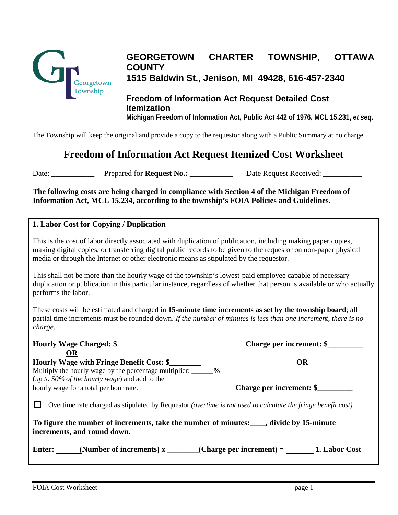

# **GEORGETOWN CHARTER TOWNSHIP, OTTAWA COUNTY 1515 Baldwin St., Jenison, MI 49428, 616-457-2340**

# **Freedom of Information Act Request Detailed Cost Itemization Michigan Freedom of Information Act, Public Act 442 of 1976, MCL 15.231,** *et seq***.**

The Township will keep the original and provide a copy to the requestor along with a Public Summary at no charge.

# **Freedom of Information Act Request Itemized Cost Worksheet**

Date: \_\_\_\_\_\_\_\_\_\_\_\_\_\_\_ Prepared for **Request No.:** \_\_\_\_\_\_\_\_\_\_\_\_\_\_ Date Request Received: \_\_\_\_\_\_\_\_\_\_\_

**The following costs are being charged in compliance with Section 4 of the Michigan Freedom of Information Act, MCL 15.234, according to the township's FOIA Policies and Guidelines.**

### **1. Labor Cost for Copying / Duplication**

This is the cost of labor directly associated with duplication of publication, including making paper copies, making digital copies, or transferring digital public records to be given to the requestor on non-paper physical media or through the Internet or other electronic means as stipulated by the requestor.

This shall not be more than the hourly wage of the township's lowest-paid employee capable of necessary duplication or publication in this particular instance, regardless of whether that person is available or who actually performs the labor.

These costs will be estimated and charged in **15-minute time increments as set by the township board**; all partial time increments must be rounded down. *If the number of minutes is less than one increment, there is no charge.*

**Hourly Wage Charged: \$**\_\_\_\_\_\_\_\_ **Charge per increment: \$\_\_\_\_\_\_\_\_\_**

| <b>OR</b>                                                                                                                                                                                                  |                          |
|------------------------------------------------------------------------------------------------------------------------------------------------------------------------------------------------------------|--------------------------|
| <b>Hourly Wage with Fringe Benefit Cost: \$</b>                                                                                                                                                            | <b>OR</b>                |
| Multiply the hourly wage by the percentage multiplier: _______%                                                                                                                                            |                          |
| ( <i>up to 50% of the hourly wage</i> ) and add to the                                                                                                                                                     |                          |
| hourly wage for a total per hour rate.                                                                                                                                                                     | Charge per increment: \$ |
| Overtime rate charged as stipulated by Requestor (overtime is not used to calculate the fringe benefit cost)<br>To figure the number of increments, take the number of minutes: _____, divide by 15-minute |                          |
| increments, and round down.                                                                                                                                                                                |                          |
| Enter: (Number of increments) $x_$ (Charge per increment) = 1. Labor Cost                                                                                                                                  |                          |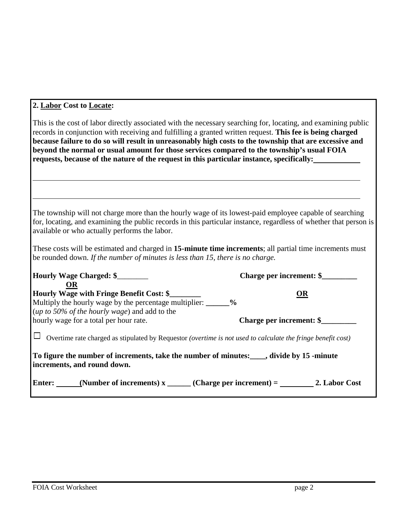# **2. Labor Cost to Locate:**

| This is the cost of labor directly associated with the necessary searching for, locating, and examining public<br>records in conjunction with receiving and fulfilling a granted written request. This fee is being charged<br>because failure to do so will result in unreasonably high costs to the township that are excessive and<br>beyond the normal or usual amount for those services compared to the township's usual FOIA<br>requests, because of the nature of the request in this particular instance, specifically: |    |
|----------------------------------------------------------------------------------------------------------------------------------------------------------------------------------------------------------------------------------------------------------------------------------------------------------------------------------------------------------------------------------------------------------------------------------------------------------------------------------------------------------------------------------|----|
| The township will not charge more than the hourly wage of its lowest-paid employee capable of searching<br>for, locating, and examining the public records in this particular instance, regardless of whether that person is<br>available or who actually performs the labor.                                                                                                                                                                                                                                                    |    |
| These costs will be estimated and charged in 15-minute time increments; all partial time increments must<br>be rounded down. If the number of minutes is less than 15, there is no charge.                                                                                                                                                                                                                                                                                                                                       |    |
| Hourly Wage Charged: \$                                                                                                                                                                                                                                                                                                                                                                                                                                                                                                          |    |
| <b>OR</b><br>Hourly Wage with Fringe Benefit Cost: \$<br>Multiply the hourly wage by the percentage multiplier: ______%<br>(up to 50% of the hourly wage) and add to the                                                                                                                                                                                                                                                                                                                                                         | OR |
| hourly wage for a total per hour rate.                                                                                                                                                                                                                                                                                                                                                                                                                                                                                           |    |
| Overtime rate charged as stipulated by Requestor (overtime is not used to calculate the fringe benefit cost)                                                                                                                                                                                                                                                                                                                                                                                                                     |    |
| To figure the number of increments, take the number of minutes: ____, divide by 15 -minute<br>increments, and round down.                                                                                                                                                                                                                                                                                                                                                                                                        |    |
| Enter: _____(Number of increments) $x$ _____(Charge per increment) = ________________2. Labor Cost                                                                                                                                                                                                                                                                                                                                                                                                                               |    |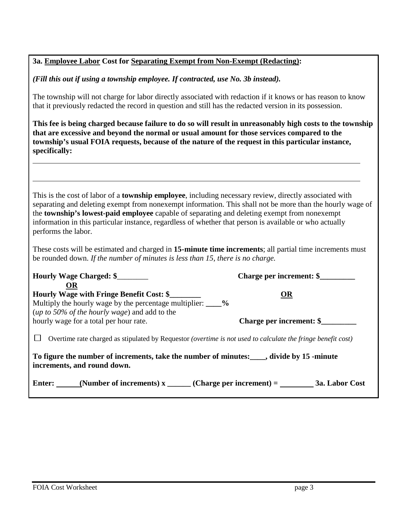|  |  |  |  | 3a. Employee Labor Cost for Separating Exempt from Non-Exempt (Redacting): |  |
|--|--|--|--|----------------------------------------------------------------------------|--|
|  |  |  |  |                                                                            |  |

*(Fill this out if using a township employee. If contracted, use No. 3b instead).*

The township will not charge for labor directly associated with redaction if it knows or has reason to know that it previously redacted the record in question and still has the redacted version in its possession.

**This fee is being charged because failure to do so will result in unreasonably high costs to the township that are excessive and beyond the normal or usual amount for those services compared to the township's usual FOIA requests, because of the nature of the request in this particular instance, specifically:**

This is the cost of labor of a **township employee**, including necessary review, directly associated with separating and deleting exempt from nonexempt information. This shall not be more than the hourly wage of the **township's lowest-paid employee** capable of separating and deleting exempt from nonexempt information in this particular instance, regardless of whether that person is available or who actually performs the labor.

These costs will be estimated and charged in **15-minute time increments**; all partial time increments must be rounded down. *If the number of minutes is less than 15, there is no charge.*

| Hourly Wage Charged: \$<br><b>OR</b>                                                                                                                               | Charge per increment: \$ |  |
|--------------------------------------------------------------------------------------------------------------------------------------------------------------------|--------------------------|--|
| Hourly Wage with Fringe Benefit Cost: \$<br>Multiply the hourly wage by the percentage multiplier: ____%<br>( <i>up to 50% of the hourly wage</i> ) and add to the | <b>OR</b>                |  |
| hourly wage for a total per hour rate.                                                                                                                             | Charge per increment: \$ |  |
| Overtime rate charged as stipulated by Requestor (overtime is not used to calculate the fringe benefit cost)                                                       |                          |  |
| To figure the number of increments, take the number of minutes: ____, divide by 15 -minute<br>increments, and round down.                                          |                          |  |
| Enter: (Number of increments) $x$ (Charge per increment) = ______                                                                                                  | 3a. Labor Cost           |  |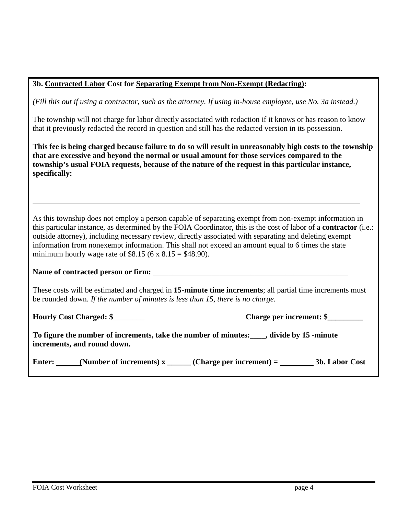|  | 3b. Contracted Labor Cost for Separating Exempt from Non-Exempt (Redacting): |  |
|--|------------------------------------------------------------------------------|--|
|  |                                                                              |  |

*(Fill this out if using a contractor, such as the attorney. If using in-house employee, use No. 3a instead.)*

The township will not charge for labor directly associated with redaction if it knows or has reason to know that it previously redacted the record in question and still has the redacted version in its possession.

**This fee is being charged because failure to do so will result in unreasonably high costs to the township that are excessive and beyond the normal or usual amount for those services compared to the township's usual FOIA requests, because of the nature of the request in this particular instance, specifically:**

As this township does not employ a person capable of separating exempt from non-exempt information in this particular instance, as determined by the FOIA Coordinator, this is the cost of labor of a **contractor** (i.e.: outside attorney), including necessary review, directly associated with separating and deleting exempt information from nonexempt information. This shall not exceed an amount equal to 6 times the state minimum hourly wage rate of \$8.15 (6 x  $8.15 = $48.90$ ).

Name of contracted person or firm:

These costs will be estimated and charged in **15-minute time increments**; all partial time increments must be rounded down. *If the number of minutes is less than 15, there is no charge.*

**Hourly Cost Charged: \$**\_\_\_\_\_\_\_\_ **Charge per increment: \$\_\_\_\_\_\_\_\_\_**

**To figure the number of increments, take the number of minutes:\_\_\_\_, divide by 15 -minute increments, and round down.** 

| Enter: | (Number of increments) $x$ | (Charge per increment) $=$ | 3b. Labor Cost |
|--------|----------------------------|----------------------------|----------------|
|--------|----------------------------|----------------------------|----------------|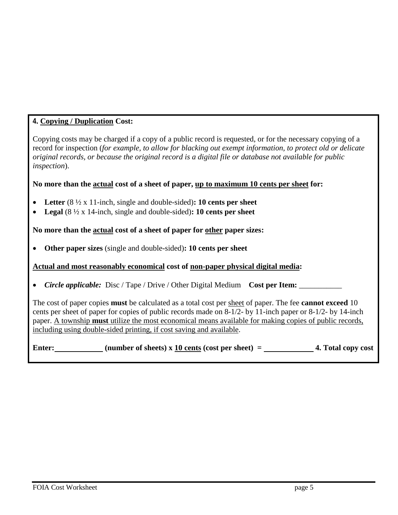# **4. Copying / Duplication Cost:**

Copying costs may be charged if a copy of a public record is requested, or for the necessary copying of a record for inspection (*for example, to allow for blacking out exempt information, to protect old or delicate original records, or because the original record is a digital file or database not available for public inspection*).

## **No more than the actual cost of a sheet of paper, up to maximum 10 cents per sheet for:**

- **Letter** (8 ½ x 11-inch, single and double-sided)**: 10 cents per sheet**
- **Legal** (8 ½ x 14-inch, single and double-sided)**: 10 cents per sheet**

### **No more than the actual cost of a sheet of paper for other paper sizes:**

• **Other paper sizes** (single and double-sided)**: 10 cents per sheet**

### **Actual and most reasonably economical cost of non-paper physical digital media:**

• *Circle applicable:* Disc / Tape / Drive / Other Digital Medium **Cost per Item:** 

The cost of paper copies **must** be calculated as a total cost per sheet of paper. The fee **cannot exceed** 10 cents per sheet of paper for copies of public records made on 8-1/2- by 11-inch paper or 8-1/2- by 14-inch paper. A township **must** utilize the most economical means available for making copies of public records, including using double-sided printing, if cost saving and available.

Enter: **(number of sheets)** x 10 cents (cost per sheet) = 4. Total copy cost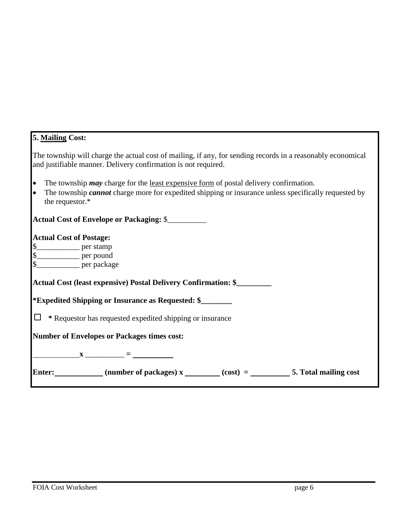| 5. Mailing Cost:                                                                                                                                                                                                                                                                                                                          |
|-------------------------------------------------------------------------------------------------------------------------------------------------------------------------------------------------------------------------------------------------------------------------------------------------------------------------------------------|
| The township will charge the actual cost of mailing, if any, for sending records in a reasonably economical<br>and justifiable manner. Delivery confirmation is not required.                                                                                                                                                             |
| The township <i>may</i> charge for the <u>least expensive form</u> of postal delivery confirmation.<br>$\bullet$<br>The township <i>cannot</i> charge more for expedited shipping or insurance unless specifically requested by<br>$\bullet$<br>the requestor.*                                                                           |
| <b>Actual Cost of Envelope or Packaging: \$</b>                                                                                                                                                                                                                                                                                           |
| <b>Actual Cost of Postage:</b><br>\$______________ per stamp<br>\$___________ per pound                                                                                                                                                                                                                                                   |
| Actual Cost (least expensive) Postal Delivery Confirmation: \$                                                                                                                                                                                                                                                                            |
| <i>*Expedited Shipping or Insurance as Requested: \$________</i>                                                                                                                                                                                                                                                                          |
| * Requestor has requested expedited shipping or insurance<br>$\Box$                                                                                                                                                                                                                                                                       |
| <b>Number of Envelopes or Packages times cost:</b>                                                                                                                                                                                                                                                                                        |
| $\frac{\ }{1}$ $\frac{\ }{1}$ $\frac{\ }{1}$ $\frac{\ }{1}$ $\frac{\ }{1}$ $\frac{\ }{1}$ $\frac{\ }{1}$ $\frac{\ }{1}$ $\frac{\ }{1}$ $\frac{\ }{1}$ $\frac{\ }{1}$ $\frac{\ }{1}$ $\frac{\ }{1}$ $\frac{\ }{1}$ $\frac{\ }{1}$ $\frac{\ }{1}$ $\frac{\ }{1}$ $\frac{\ }{1}$ $\frac{\ }{1}$ $\frac{\ }{1}$ $\frac{\ }{1}$ $\frac{\ }{1}$ |
| Enter: ___________(number of packages) $x$ ______(cost) = __________5. Total mailing cost                                                                                                                                                                                                                                                 |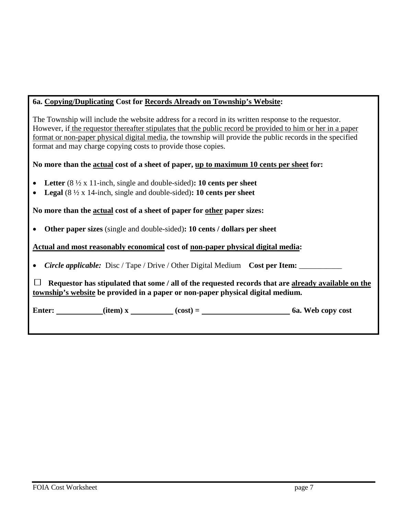# **6a. Copying/Duplicating Cost for Records Already on Township's Website:**

The Township will include the website address for a record in its written response to the requestor. However, if the requestor thereafter stipulates that the public record be provided to him or her in a paper format or non-paper physical digital media, the township will provide the public records in the specified format and may charge copying costs to provide those copies.

## **No more than the actual cost of a sheet of paper, up to maximum 10 cents per sheet for:**

- **Letter** (8 ½ x 11-inch, single and double-sided)**: 10 cents per sheet**
- **Legal** (8 ½ x 14-inch, single and double-sided)**: 10 cents per sheet**

**No more than the actual cost of a sheet of paper for other paper sizes:**

• **Other paper sizes** (single and double-sided)**: 10 cents / dollars per sheet**

**Actual and most reasonably economical cost of non-paper physical digital media:**

• *Circle applicable:* Disc / Tape / Drive / Other Digital Medium **Cost per Item:** \_\_\_\_\_\_\_\_\_\_\_

 $\Box$  Requestor has stipulated that some / all of the requested records that are already available on the **township's website be provided in a paper or non-paper physical digital medium.**

**Enter:**  $\qquad (item) x \qquad \qquad (cost) = \qquad \qquad 6a. Web copy cost$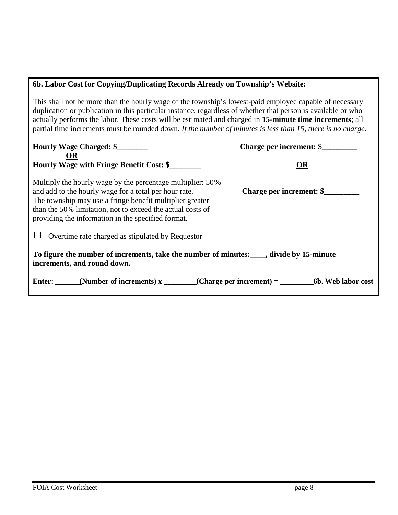## **6b. Labor Cost for Copying/Duplicating Records Already on Township's Website:**

This shall not be more than the hourly wage of the township's lowest-paid employee capable of necessary duplication or publication in this particular instance, regardless of whether that person is available or who actually performs the labor. These costs will be estimated and charged in **15-minute time increments**; all partial time increments must be rounded down. *If the number of minutes is less than 15, there is no charge.*

| Hourly Wage Charged: \$<br>OR                                                                                                                                                                                                                                                                       | Charge per increment: \$ |  |
|-----------------------------------------------------------------------------------------------------------------------------------------------------------------------------------------------------------------------------------------------------------------------------------------------------|--------------------------|--|
| <b>Hourly Wage with Fringe Benefit Cost: \$</b>                                                                                                                                                                                                                                                     | OR                       |  |
| Multiply the hourly wage by the percentage multiplier: 50%<br>and add to the hourly wage for a total per hour rate.<br>The township may use a fringe benefit multiplier greater<br>than the 50% limitation, not to exceed the actual costs of<br>providing the information in the specified format. | Charge per increment: \$ |  |
| Overtime rate charged as stipulated by Requestor                                                                                                                                                                                                                                                    |                          |  |
| To figure the number of increments, take the number of minutes: _____, divide by 15-minute<br>increments, and round down.                                                                                                                                                                           |                          |  |
| Enter: (Number of increments) $x$ (Charge per increment) = 6b. Web labor cost                                                                                                                                                                                                                       |                          |  |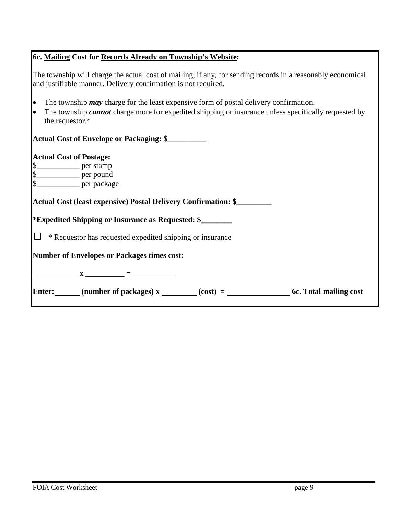# **6c. Mailing Cost for Records Already on Township's Website:**

| The township will charge the actual cost of mailing, if any, for sending records in a reasonably economical<br>and justifiable manner. Delivery confirmation is not required.                                                                            |
|----------------------------------------------------------------------------------------------------------------------------------------------------------------------------------------------------------------------------------------------------------|
| l.<br>The township <i>may</i> charge for the <u>least expensive form</u> of postal delivery confirmation.<br>The township <i>cannot</i> charge more for expedited shipping or insurance unless specifically requested by<br>$\bullet$<br>the requestor.* |
| Actual Cost of Envelope or Packaging: \$                                                                                                                                                                                                                 |
| <b>Actual Cost of Postage:</b><br>$\frac{\text{g}}{\text{g}}$ per stamp per pound<br>\$                                                                                                                                                                  |
| Actual Cost (least expensive) Postal Delivery Confirmation: \$                                                                                                                                                                                           |
| <i>*Expedited Shipping or Insurance as Requested: \$</i>                                                                                                                                                                                                 |
| $\Box$<br>* Requestor has requested expedited shipping or insurance                                                                                                                                                                                      |
| <b>Number of Envelopes or Packages times cost:</b>                                                                                                                                                                                                       |
|                                                                                                                                                                                                                                                          |
| Enter: (number of packages) x (cost) = (cost) = 6c. Total mailing cost                                                                                                                                                                                   |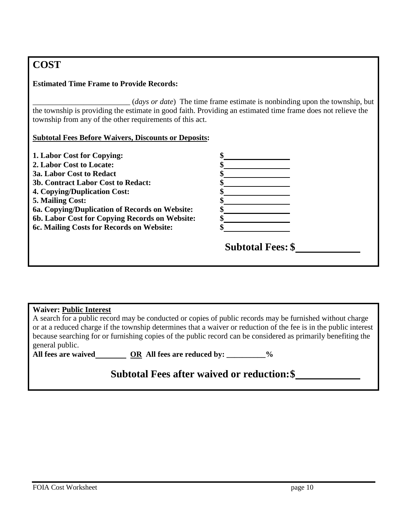# **COST**

## **Estimated Time Frame to Provide Records:**

\_\_\_\_\_\_\_\_\_\_\_\_\_\_\_\_\_\_\_\_\_\_\_\_\_ (*days or date*) The time frame estimate is nonbinding upon the township, but the township is providing the estimate in good faith. Providing an estimated time frame does not relieve the township from any of the other requirements of this act.

# **Subtotal Fees Before Waivers, Discounts or Deposits:**

| 1. Labor Cost for Copying:                     |                          |
|------------------------------------------------|--------------------------|
| 2. Labor Cost to Locate:                       |                          |
| <b>3a. Labor Cost to Redact</b>                |                          |
| 3b. Contract Labor Cost to Redact:             |                          |
| <b>4. Copying/Duplication Cost:</b>            |                          |
| 5. Mailing Cost:                               |                          |
| 6a. Copying/Duplication of Records on Website: |                          |
| 6b. Labor Cost for Copying Records on Website: |                          |
| 6c. Mailing Costs for Records on Website:      |                          |
|                                                | <b>Subtotal Fees: \$</b> |
|                                                |                          |

| <b>Waiver: Public Interest</b>                                                                                |                                                                                                                   |  |  |  |
|---------------------------------------------------------------------------------------------------------------|-------------------------------------------------------------------------------------------------------------------|--|--|--|
|                                                                                                               | A search for a public record may be conducted or copies of public records may be furnished without charge         |  |  |  |
|                                                                                                               | or at a reduced charge if the township determines that a waiver or reduction of the fee is in the public interest |  |  |  |
| because searching for or furnishing copies of the public record can be considered as primarily benefiting the |                                                                                                                   |  |  |  |
| general public.                                                                                               |                                                                                                                   |  |  |  |
| All fees are waived                                                                                           | OR All fees are reduced by: __________%                                                                           |  |  |  |
| <b>Subtotal Fees after waived or reduction: \$</b>                                                            |                                                                                                                   |  |  |  |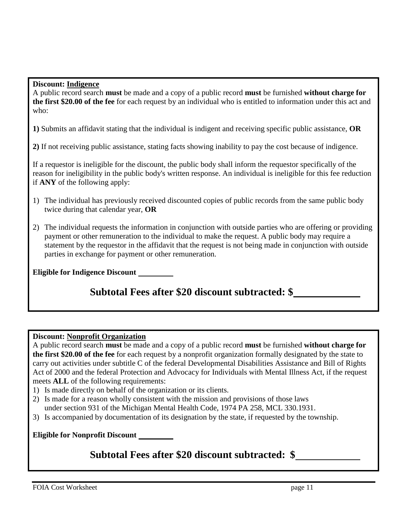#### **Discount: Indigence**

A public record search **must** be made and a copy of a public record **must** be furnished **without charge for the first \$20.00 of the fee** for each request by an individual who is entitled to information under this act and who:

**1)** Submits an affidavit stating that the individual is indigent and receiving specific public assistance, **OR**

**2)** If not receiving public assistance, stating facts showing inability to pay the cost because of indigence.

If a requestor is ineligible for the discount, the public body shall inform the requestor specifically of the reason for ineligibility in the public body's written response. An individual is ineligible for this fee reduction if **ANY** of the following apply:

- 1) The individual has previously received discounted copies of public records from the same public body twice during that calendar year, **OR**
- 2) The individual requests the information in conjunction with outside parties who are offering or providing payment or other remuneration to the individual to make the request. A public body may require a statement by the requestor in the affidavit that the request is not being made in conjunction with outside parties in exchange for payment or other remuneration.

**Eligible for Indigence Discount**

# **Subtotal Fees after \$20 discount subtracted: \$**

## **Discount: Nonprofit Organization**

A public record search **must** be made and a copy of a public record **must** be furnished **without charge for the first \$20.00 of the fee** for each request by a nonprofit organization formally designated by the state to carry out activities under subtitle C of the federal Developmental Disabilities Assistance and Bill of Rights Act of 2000 and the federal Protection and Advocacy for Individuals with Mental Illness Act, if the request meets **ALL** of the following requirements:

- 1) Is made directly on behalf of the organization or its clients.
- 2) Is made for a reason wholly consistent with the mission and provisions of those laws under section 931 of the Michigan Mental Health Code, 1974 PA 258, MCL 330.1931.
- 3) Is accompanied by documentation of its designation by the state, if requested by the township.

**Eligible for Nonprofit Discount**

# **Subtotal Fees after \$20 discount subtracted: \$**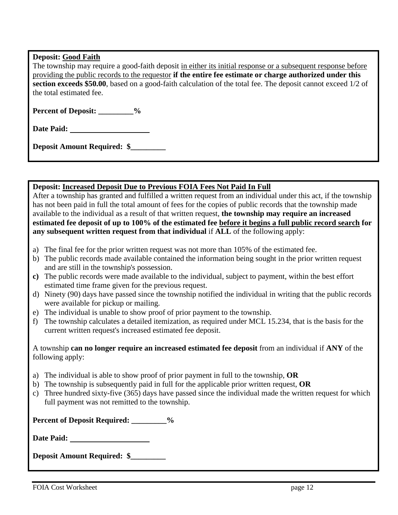#### **Deposit: Good Faith**

The township may require a good-faith deposit in either its initial response or a subsequent response before providing the public records to the requestor **if the entire fee estimate or charge authorized under this section exceeds \$50.00**, based on a good-faith calculation of the total fee. The deposit cannot exceed 1/2 of the total estimated fee.

Percent of Deposit: \_\_\_\_\_\_\_\_\_%

**Date Paid:**

**Deposit Amount Required: \$\_\_\_\_\_\_\_\_\_**

#### **Deposit: Increased Deposit Due to Previous FOIA Fees Not Paid In Full**

After a township has granted and fulfilled a written request from an individual under this act, if the township has not been paid in full the total amount of fees for the copies of public records that the township made available to the individual as a result of that written request, **the township may require an increased estimated fee deposit of up to 100% of the estimated fee before it begins a full public record search for any subsequent written request from that individual** if **ALL** of the following apply:

- a) The final fee for the prior written request was not more than 105% of the estimated fee.
- b) The public records made available contained the information being sought in the prior written request and are still in the township's possession.
- **c)** The public records were made available to the individual, subject to payment, within the best effort estimated time frame given for the previous request.
- d) Ninety (90) days have passed since the township notified the individual in writing that the public records were available for pickup or mailing.
- e) The individual is unable to show proof of prior payment to the township.
- f) The township calculates a detailed itemization, as required under MCL 15.234, that is the basis for the current written request's increased estimated fee deposit.

A township **can no longer require an increased estimated fee deposit** from an individual if **ANY** of the following apply:

- a) The individual is able to show proof of prior payment in full to the township, **OR**
- b) The township is subsequently paid in full for the applicable prior written request, **OR**
- c) Three hundred sixty-five (365) days have passed since the individual made the written request for which full payment was not remitted to the township.

**Percent of Deposit Required: \_\_\_\_\_\_\_\_\_%**

**Date Paid:**

**Deposit Amount Required: \$\_\_\_\_\_\_\_\_\_**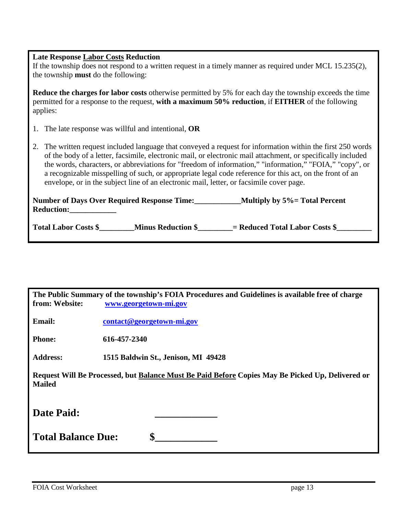| <b>Late Response Labor Costs Reduction</b><br>If the township does not respond to a written request in a timely manner as required under MCL $15.235(2)$ ,<br>the township <b>must</b> do the following:                                                                                                                                                                                                                                                                                                                                       |  |  |
|------------------------------------------------------------------------------------------------------------------------------------------------------------------------------------------------------------------------------------------------------------------------------------------------------------------------------------------------------------------------------------------------------------------------------------------------------------------------------------------------------------------------------------------------|--|--|
| <b>Reduce the charges for labor costs</b> otherwise permitted by 5% for each day the township exceeds the time<br>permitted for a response to the request, with a maximum 50% reduction, if EITHER of the following<br>applies:                                                                                                                                                                                                                                                                                                                |  |  |
| The late response was willful and intentional, OR<br>1.                                                                                                                                                                                                                                                                                                                                                                                                                                                                                        |  |  |
| 2. The written request included language that conveyed a request for information within the first 250 words<br>of the body of a letter, facsimile, electronic mail, or electronic mail attachment, or specifically included<br>the words, characters, or abbreviations for "freedom of information," "information," "FOIA," "copy", or<br>a recognizable misspelling of such, or appropriate legal code reference for this act, on the front of an<br>envelope, or in the subject line of an electronic mail, letter, or facsimile cover page. |  |  |
| <b>Reduction:</b>                                                                                                                                                                                                                                                                                                                                                                                                                                                                                                                              |  |  |
| Total Labor Costs \$<br>Minus Reduction \$ = Reduced Total Labor Costs \$                                                                                                                                                                                                                                                                                                                                                                                                                                                                      |  |  |

| The Public Summary of the township's FOIA Procedures and Guidelines is available free of charge<br>from: Website:<br>www.georgetown-mi.gov |                                     |  |
|--------------------------------------------------------------------------------------------------------------------------------------------|-------------------------------------|--|
| Email:                                                                                                                                     | contact@georgetown-mi.gov           |  |
| <b>Phone:</b>                                                                                                                              | 616-457-2340                        |  |
| <b>Address:</b>                                                                                                                            | 1515 Baldwin St., Jenison, MI 49428 |  |
| Request Will Be Processed, but Balance Must Be Paid Before Copies May Be Picked Up, Delivered or<br><b>Mailed</b>                          |                                     |  |
| Date Paid:                                                                                                                                 |                                     |  |
| \$<br><b>Total Balance Due:</b>                                                                                                            |                                     |  |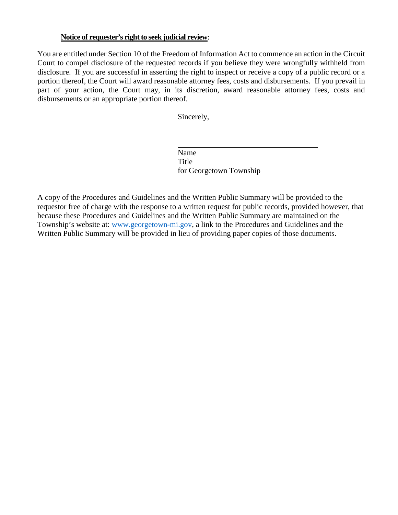#### **Notice of requester's right to seek judicial review**:

You are entitled under Section 10 of the Freedom of Information Act to commence an action in the Circuit Court to compel disclosure of the requested records if you believe they were wrongfully withheld from disclosure. If you are successful in asserting the right to inspect or receive a copy of a public record or a portion thereof, the Court will award reasonable attorney fees, costs and disbursements. If you prevail in part of your action, the Court may, in its discretion, award reasonable attorney fees, costs and disbursements or an appropriate portion thereof.

Sincerely,

Name Title for Georgetown Township

A copy of the Procedures and Guidelines and the Written Public Summary will be provided to the requestor free of charge with the response to a written request for public records, provided however, that because these Procedures and Guidelines and the Written Public Summary are maintained on the Township's website at: [www.georgetown-mi.gov,](http://www.georgetown-mi.gov/) a link to the Procedures and Guidelines and the Written Public Summary will be provided in lieu of providing paper copies of those documents.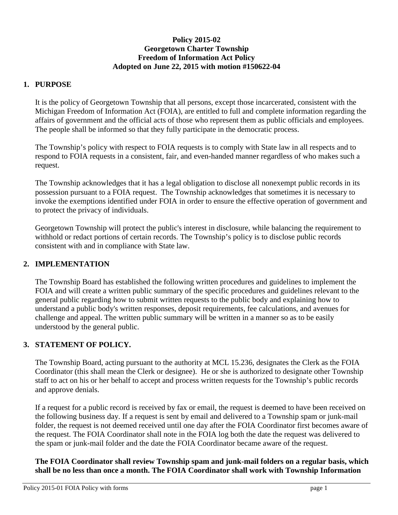## **Policy 2015-02 Georgetown Charter Township Freedom of Information Act Policy Adopted on June 22, 2015 with motion #150622-04**

## **1. PURPOSE**

It is the policy of Georgetown Township that all persons, except those incarcerated, consistent with the Michigan Freedom of Information Act (FOIA), are entitled to full and complete information regarding the affairs of government and the official acts of those who represent them as public officials and employees. The people shall be informed so that they fully participate in the democratic process.

The Township's policy with respect to FOIA requests is to comply with State law in all respects and to respond to FOIA requests in a consistent, fair, and even-handed manner regardless of who makes such a request.

The Township acknowledges that it has a legal obligation to disclose all nonexempt public records in its possession pursuant to a FOIA request. The Township acknowledges that sometimes it is necessary to invoke the exemptions identified under FOIA in order to ensure the effective operation of government and to protect the privacy of individuals.

Georgetown Township will protect the public's interest in disclosure, while balancing the requirement to withhold or redact portions of certain records. The Township's policy is to disclose public records consistent with and in compliance with State law.

### **2. IMPLEMENTATION**

The Township Board has established the following written procedures and guidelines to implement the FOIA and will create a written public summary of the specific procedures and guidelines relevant to the general public regarding how to submit written requests to the public body and explaining how to understand a public body's written responses, deposit requirements, fee calculations, and avenues for challenge and appeal. The written public summary will be written in a manner so as to be easily understood by the general public.

### **3. STATEMENT OF POLICY.**

The Township Board, acting pursuant to the authority at MCL 15.236, designates the Clerk as the FOIA Coordinator (this shall mean the Clerk or designee). He or she is authorized to designate other Township staff to act on his or her behalf to accept and process written requests for the Township's public records and approve denials.

If a request for a public record is received by fax or email, the request is deemed to have been received on the following business day. If a request is sent by email and delivered to a Township spam or junk-mail folder, the request is not deemed received until one day after the FOIA Coordinator first becomes aware of the request. The FOIA Coordinator shall note in the FOIA log both the date the request was delivered to the spam or junk-mail folder and the date the FOIA Coordinator became aware of the request.

**The FOIA Coordinator shall review Township spam and junk-mail folders on a regular basis, which shall be no less than once a month. The FOIA Coordinator shall work with Township Information**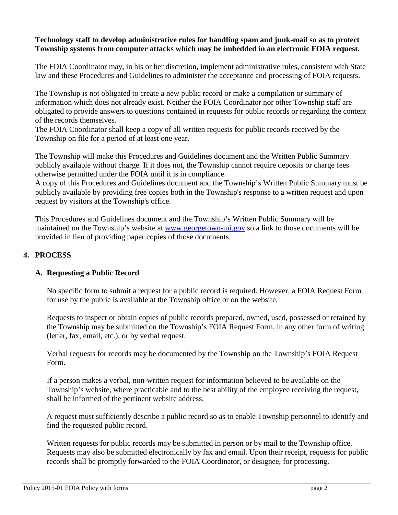#### **Technology staff to develop administrative rules for handling spam and junk-mail so as to protect Township systems from computer attacks which may be imbedded in an electronic FOIA request.**

The FOIA Coordinator may, in his or her discretion, implement administrative rules, consistent with State law and these Procedures and Guidelines to administer the acceptance and processing of FOIA requests.

The Township is not obligated to create a new public record or make a compilation or summary of information which does not already exist. Neither the FOIA Coordinator nor other Township staff are obligated to provide answers to questions contained in requests for public records or regarding the content of the records themselves.

The FOIA Coordinator shall keep a copy of all written requests for public records received by the Township on file for a period of at least one year.

The Township will make this Procedures and Guidelines document and the Written Public Summary publicly available without charge. If it does not, the Township cannot require deposits or charge fees otherwise permitted under the FOIA until it is in compliance.

A copy of this Procedures and Guidelines document and the Township's Written Public Summary must be publicly available by providing free copies both in the Township's response to a written request and upon request by visitors at the Township's office.

This Procedures and Guidelines document and the Township's Written Public Summary will be maintained on the Township's website at [www.georgetown-mi.gov](http://www.georgetown-mi.gov/) so a link to those documents will be provided in lieu of providing paper copies of those documents.

# **4. PROCESS**

### **A. Requesting a Public Record**

No specific form to submit a request for a public record is required. However, a FOIA Request Form for use by the public is available at the Township office or on the website.

Requests to inspect or obtain copies of public records prepared, owned, used, possessed or retained by the Township may be submitted on the Township's FOIA Request Form, in any other form of writing (letter, fax, email, etc.), or by verbal request.

Verbal requests for records may be documented by the Township on the Township's FOIA Request Form.

If a person makes a verbal, non-written request for information believed to be available on the Township's website, where practicable and to the best ability of the employee receiving the request, shall be informed of the pertinent website address.

A request must sufficiently describe a public record so as to enable Township personnel to identify and find the requested public record.

Written requests for public records may be submitted in person or by mail to the Township office. Requests may also be submitted electronically by fax and email. Upon their receipt, requests for public records shall be promptly forwarded to the FOIA Coordinator, or designee, for processing.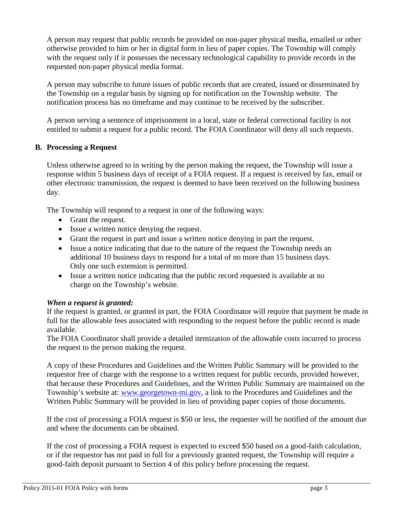A person may request that public records be provided on non-paper physical media, emailed or other otherwise provided to him or her in digital form in lieu of paper copies. The Township will comply with the request only if it possesses the necessary technological capability to provide records in the requested non-paper physical media format.

A person may subscribe to future issues of public records that are created, issued or disseminated by the Township on a regular basis by signing up for notification on the Township website. The notification process has no timeframe and may continue to be received by the subscriber.

A person serving a sentence of imprisonment in a local, state or federal correctional facility is not entitled to submit a request for a public record. The FOIA Coordinator will deny all such requests.

### **B. Processing a Request**

Unless otherwise agreed to in writing by the person making the request, the Township will issue a response within 5 business days of receipt of a FOIA request. If a request is received by fax, email or other electronic transmission, the request is deemed to have been received on the following business day.

The Township will respond to a request in one of the following ways:

- Grant the request.
- Issue a written notice denying the request.
- Grant the request in part and issue a written notice denying in part the request.
- Issue a notice indicating that due to the nature of the request the Township needs an additional 10 business days to respond for a total of no more than 15 business days. Only one such extension is permitted.
- Issue a written notice indicating that the public record requested is available at no charge on the Township's website.

# *When a request is granted:*

If the request is granted, or granted in part, the FOIA Coordinator will require that payment be made in full for the allowable fees associated with responding to the request before the public record is made available.

The FOIA Coordinator shall provide a detailed itemization of the allowable costs incurred to process the request to the person making the request.

A copy of these Procedures and Guidelines and the Written Public Summary will be provided to the requestor free of charge with the response to a written request for public records, provided however, that because these Procedures and Guidelines, and the Written Public Summary are maintained on the Township's website at: [www.georgetown-mi.gov,](http://www.georgetown-mi.gov/) a link to the Procedures and Guidelines and the Written Public Summary will be provided in lieu of providing paper copies of those documents.

If the cost of processing a FOIA request is \$50 or less, the requester will be notified of the amount due and where the documents can be obtained.

If the cost of processing a FOIA request is expected to exceed \$50 based on a good-faith calculation, or if the requestor has not paid in full for a previously granted request, the Township will require a good-faith deposit pursuant to Section 4 of this policy before processing the request.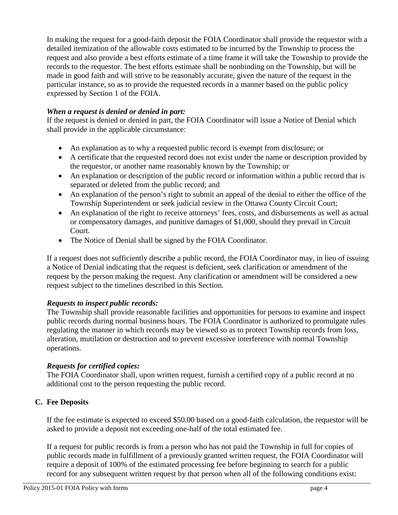In making the request for a good-faith deposit the FOIA Coordinator shall provide the requestor with a detailed itemization of the allowable costs estimated to be incurred by the Township to process the request and also provide a best efforts estimate of a time frame it will take the Township to provide the records to the requestor. The best efforts estimate shall be nonbinding on the Township, but will be made in good faith and will strive to be reasonably accurate, given the nature of the request in the particular instance, so as to provide the requested records in a manner based on the public policy expressed by Section 1 of the FOIA.

## *When a request is denied or denied in part:*

If the request is denied or denied in part, the FOIA Coordinator will issue a Notice of Denial which shall provide in the applicable circumstance:

- An explanation as to why a requested public record is exempt from disclosure; or
- A certificate that the requested record does not exist under the name or description provided by the requestor, or another name reasonably known by the Township; or
- An explanation or description of the public record or information within a public record that is separated or deleted from the public record; and
- An explanation of the person's right to submit an appeal of the denial to either the office of the Township Superintendent or seek judicial review in the Ottawa County Circuit Court;
- An explanation of the right to receive attorneys' fees, costs, and disbursements as well as actual or compensatory damages, and punitive damages of \$1,000, should they prevail in Circuit Court.
- The Notice of Denial shall be signed by the FOIA Coordinator.

If a request does not sufficiently describe a public record, the FOIA Coordinator may, in lieu of issuing a Notice of Denial indicating that the request is deficient, seek clarification or amendment of the request by the person making the request. Any clarification or amendment will be considered a new request subject to the timelines described in this Section.

### *Requests to inspect public records:*

The Township shall provide reasonable facilities and opportunities for persons to examine and inspect public records during normal business hours. The FOIA Coordinator is authorized to promulgate rules regulating the manner in which records may be viewed so as to protect Township records from loss, alteration, mutilation or destruction and to prevent excessive interference with normal Township operations.

### *Requests for certified copies:*

The FOIA Coordinator shall, upon written request, furnish a certified copy of a public record at no additional cost to the person requesting the public record.

# **C. Fee Deposits**

If the fee estimate is expected to exceed \$50.00 based on a good-faith calculation, the requestor will be asked to provide a deposit not exceeding one-half of the total estimated fee.

If a request for public records is from a person who has not paid the Township in full for copies of public records made in fulfillment of a previously granted written request, the FOIA Coordinator will require a deposit of 100% of the estimated processing fee before beginning to search for a public record for any subsequent written request by that person when all of the following conditions exist: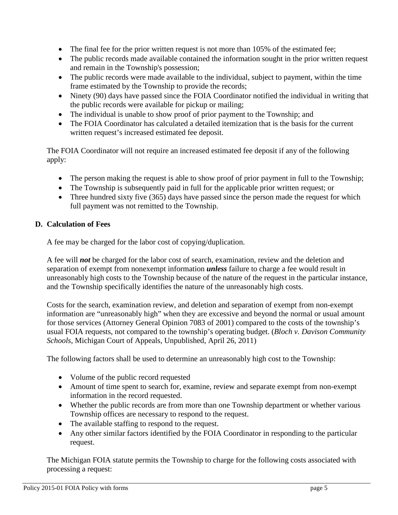- The final fee for the prior written request is not more than 105% of the estimated fee;
- The public records made available contained the information sought in the prior written request and remain in the Township's possession;
- The public records were made available to the individual, subject to payment, within the time frame estimated by the Township to provide the records;
- Ninety (90) days have passed since the FOIA Coordinator notified the individual in writing that the public records were available for pickup or mailing;
- The individual is unable to show proof of prior payment to the Township; and
- The FOIA Coordinator has calculated a detailed itemization that is the basis for the current written request's increased estimated fee deposit.

The FOIA Coordinator will not require an increased estimated fee deposit if any of the following apply:

- The person making the request is able to show proof of prior payment in full to the Township;
- The Township is subsequently paid in full for the applicable prior written request; or
- Three hundred sixty five (365) days have passed since the person made the request for which full payment was not remitted to the Township.

# **D. Calculation of Fees**

A fee may be charged for the labor cost of copying/duplication.

A fee will *not* be charged for the labor cost of search, examination, review and the deletion and separation of exempt from nonexempt information *unless* failure to charge a fee would result in unreasonably high costs to the Township because of the nature of the request in the particular instance, and the Township specifically identifies the nature of the unreasonably high costs.

Costs for the search, examination review, and deletion and separation of exempt from non-exempt information are "unreasonably high" when they are excessive and beyond the normal or usual amount for those services (Attorney General Opinion 7083 of 2001) compared to the costs of the township's usual FOIA requests, not compared to the township's operating budget. (*Bloch v. Davison Community Schools*, Michigan Court of Appeals, Unpublished, April 26, 2011)

The following factors shall be used to determine an unreasonably high cost to the Township:

- Volume of the public record requested
- Amount of time spent to search for, examine, review and separate exempt from non-exempt information in the record requested.
- Whether the public records are from more than one Township department or whether various Township offices are necessary to respond to the request.
- The available staffing to respond to the request.
- Any other similar factors identified by the FOIA Coordinator in responding to the particular request.

The Michigan FOIA statute permits the Township to charge for the following costs associated with processing a request: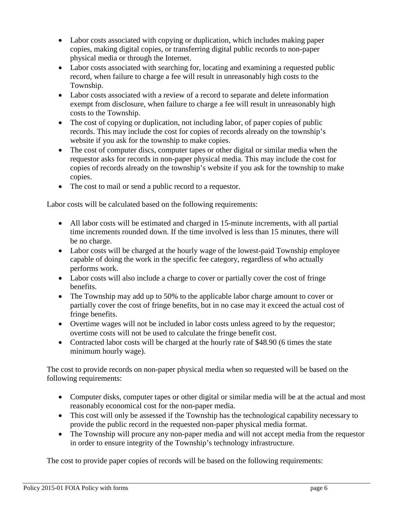- Labor costs associated with copying or duplication, which includes making paper copies, making digital copies, or transferring digital public records to non-paper physical media or through the Internet.
- Labor costs associated with searching for, locating and examining a requested public record, when failure to charge a fee will result in unreasonably high costs to the Township.
- Labor costs associated with a review of a record to separate and delete information exempt from disclosure, when failure to charge a fee will result in unreasonably high costs to the Township.
- The cost of copying or duplication, not including labor, of paper copies of public records. This may include the cost for copies of records already on the township's website if you ask for the township to make copies.
- The cost of computer discs, computer tapes or other digital or similar media when the requestor asks for records in non-paper physical media. This may include the cost for copies of records already on the township's website if you ask for the township to make copies.
- The cost to mail or send a public record to a requestor.

Labor costs will be calculated based on the following requirements:

- All labor costs will be estimated and charged in 15-minute increments, with all partial time increments rounded down. If the time involved is less than 15 minutes, there will be no charge.
- Labor costs will be charged at the hourly wage of the lowest-paid Township employee capable of doing the work in the specific fee category, regardless of who actually performs work.
- Labor costs will also include a charge to cover or partially cover the cost of fringe benefits.
- The Township may add up to 50% to the applicable labor charge amount to cover or partially cover the cost of fringe benefits, but in no case may it exceed the actual cost of fringe benefits.
- Overtime wages will not be included in labor costs unless agreed to by the requestor; overtime costs will not be used to calculate the fringe benefit cost.
- Contracted labor costs will be charged at the hourly rate of \$48.90 (6 times the state minimum hourly wage).

The cost to provide records on non-paper physical media when so requested will be based on the following requirements:

- Computer disks, computer tapes or other digital or similar media will be at the actual and most reasonably economical cost for the non-paper media.
- This cost will only be assessed if the Township has the technological capability necessary to provide the public record in the requested non-paper physical media format.
- The Township will procure any non-paper media and will not accept media from the requestor in order to ensure integrity of the Township's technology infrastructure.

The cost to provide paper copies of records will be based on the following requirements: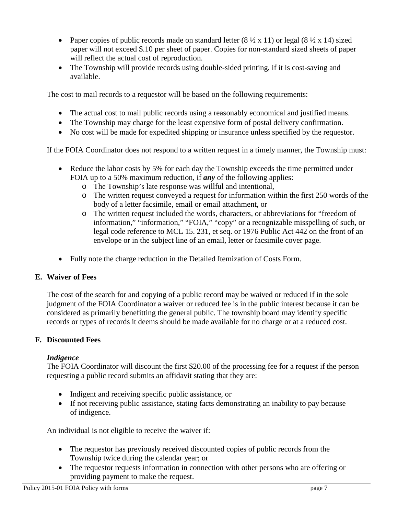- Paper copies of public records made on standard letter  $(8 \frac{1}{2} \times 11)$  or legal  $(8 \frac{1}{2} \times 14)$  sized paper will not exceed \$.10 per sheet of paper. Copies for non-standard sized sheets of paper will reflect the actual cost of reproduction.
- The Township will provide records using double-sided printing, if it is cost-saving and available.

The cost to mail records to a requestor will be based on the following requirements:

- The actual cost to mail public records using a reasonably economical and justified means.
- The Township may charge for the least expensive form of postal delivery confirmation.
- No cost will be made for expedited shipping or insurance unless specified by the requestor.

If the FOIA Coordinator does not respond to a written request in a timely manner, the Township must:

- Reduce the labor costs by 5% for each day the Township exceeds the time permitted under FOIA up to a 50% maximum reduction, if *any* of the following applies:
	- o The Township's late response was willful and intentional,
	- o The written request conveyed a request for information within the first 250 words of the body of a letter facsimile, email or email attachment, or
	- o The written request included the words, characters, or abbreviations for "freedom of information," "information," "FOIA," "copy" or a recognizable misspelling of such, or legal code reference to MCL 15. 231, et seq. or 1976 Public Act 442 on the front of an envelope or in the subject line of an email, letter or facsimile cover page.
- Fully note the charge reduction in the Detailed Itemization of Costs Form.

### **E. Waiver of Fees**

The cost of the search for and copying of a public record may be waived or reduced if in the sole judgment of the FOIA Coordinator a waiver or reduced fee is in the public interest because it can be considered as primarily benefitting the general public. The township board may identify specific records or types of records it deems should be made available for no charge or at a reduced cost.

### **F. Discounted Fees**

### *Indigence*

The FOIA Coordinator will discount the first \$20.00 of the processing fee for a request if the person requesting a public record submits an affidavit stating that they are:

- Indigent and receiving specific public assistance, or
- If not receiving public assistance, stating facts demonstrating an inability to pay because of indigence.

An individual is not eligible to receive the waiver if:

- The requestor has previously received discounted copies of public records from the Township twice during the calendar year; or
- The requestor requests information in connection with other persons who are offering or providing payment to make the request.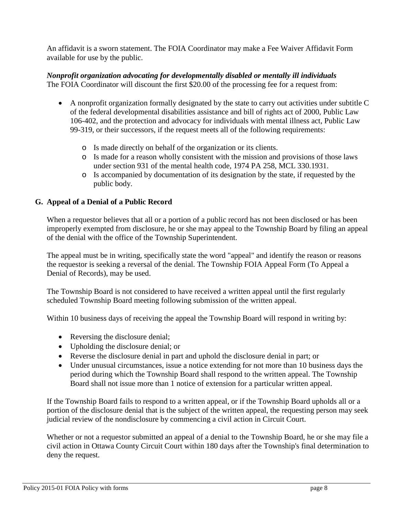An affidavit is a sworn statement. The FOIA Coordinator may make a Fee Waiver Affidavit Form available for use by the public.

#### *Nonprofit organization advocating for developmentally disabled or mentally ill individuals* The FOIA Coordinator will discount the first \$20.00 of the processing fee for a request from:

- A nonprofit organization formally designated by the state to carry out activities under subtitle C of the federal developmental disabilities assistance and bill of rights act of 2000, Public Law 106-402, and the protection and advocacy for individuals with mental illness act, Public Law 99-319, or their successors, if the request meets all of the following requirements:
	- o Is made directly on behalf of the organization or its clients.
	- o Is made for a reason wholly consistent with the mission and provisions of those laws under section 931 of the mental health code, 1974 PA 258, MCL 330.1931.
	- o Is accompanied by documentation of its designation by the state, if requested by the public body.

# **G. Appeal of a Denial of a Public Record**

When a requestor believes that all or a portion of a public record has not been disclosed or has been improperly exempted from disclosure, he or she may appeal to the Township Board by filing an appeal of the denial with the office of the Township Superintendent.

The appeal must be in writing, specifically state the word "appeal" and identify the reason or reasons the requestor is seeking a reversal of the denial. The Township FOIA Appeal Form (To Appeal a Denial of Records), may be used.

The Township Board is not considered to have received a written appeal until the first regularly scheduled Township Board meeting following submission of the written appeal.

Within 10 business days of receiving the appeal the Township Board will respond in writing by:

- Reversing the disclosure denial;
- Upholding the disclosure denial; or
- Reverse the disclosure denial in part and uphold the disclosure denial in part; or
- Under unusual circumstances, issue a notice extending for not more than 10 business days the period during which the Township Board shall respond to the written appeal. The Township Board shall not issue more than 1 notice of extension for a particular written appeal.

If the Township Board fails to respond to a written appeal, or if the Township Board upholds all or a portion of the disclosure denial that is the subject of the written appeal, the requesting person may seek judicial review of the nondisclosure by commencing a civil action in Circuit Court.

Whether or not a requestor submitted an appeal of a denial to the Township Board, he or she may file a civil action in Ottawa County Circuit Court within 180 days after the Township's final determination to deny the request.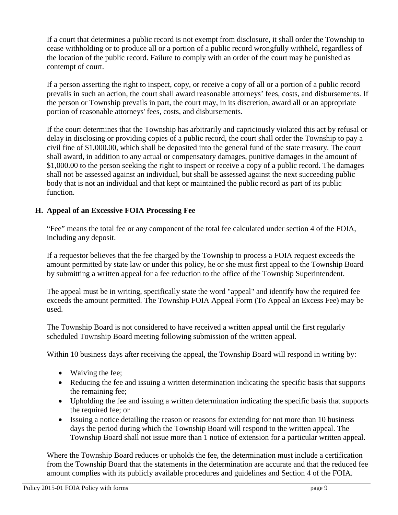If a court that determines a public record is not exempt from disclosure, it shall order the Township to cease withholding or to produce all or a portion of a public record wrongfully withheld, regardless of the location of the public record. Failure to comply with an order of the court may be punished as contempt of court.

If a person asserting the right to inspect, copy, or receive a copy of all or a portion of a public record prevails in such an action, the court shall award reasonable attorneys' fees, costs, and disbursements. If the person or Township prevails in part, the court may, in its discretion, award all or an appropriate portion of reasonable attorneys' fees, costs, and disbursements.

If the court determines that the Township has arbitrarily and capriciously violated this act by refusal or delay in disclosing or providing copies of a public record, the court shall order the Township to pay a civil fine of \$1,000.00, which shall be deposited into the general fund of the state treasury. The court shall award, in addition to any actual or compensatory damages, punitive damages in the amount of \$1,000.00 to the person seeking the right to inspect or receive a copy of a public record. The damages shall not be assessed against an individual, but shall be assessed against the next succeeding public body that is not an individual and that kept or maintained the public record as part of its public function.

# **H. Appeal of an Excessive FOIA Processing Fee**

"Fee" means the total fee or any component of the total fee calculated under section 4 of the FOIA, including any deposit.

If a requestor believes that the fee charged by the Township to process a FOIA request exceeds the amount permitted by state law or under this policy, he or she must first appeal to the Township Board by submitting a written appeal for a fee reduction to the office of the Township Superintendent.

The appeal must be in writing, specifically state the word "appeal" and identify how the required fee exceeds the amount permitted. The Township FOIA Appeal Form (To Appeal an Excess Fee) may be used.

The Township Board is not considered to have received a written appeal until the first regularly scheduled Township Board meeting following submission of the written appeal.

Within 10 business days after receiving the appeal, the Township Board will respond in writing by:

- Waiving the fee;
- Reducing the fee and issuing a written determination indicating the specific basis that supports the remaining fee;
- Upholding the fee and issuing a written determination indicating the specific basis that supports the required fee; or
- Issuing a notice detailing the reason or reasons for extending for not more than 10 business days the period during which the Township Board will respond to the written appeal. The Township Board shall not issue more than 1 notice of extension for a particular written appeal.

Where the Township Board reduces or upholds the fee, the determination must include a certification from the Township Board that the statements in the determination are accurate and that the reduced fee amount complies with its publicly available procedures and guidelines and Section 4 of the FOIA.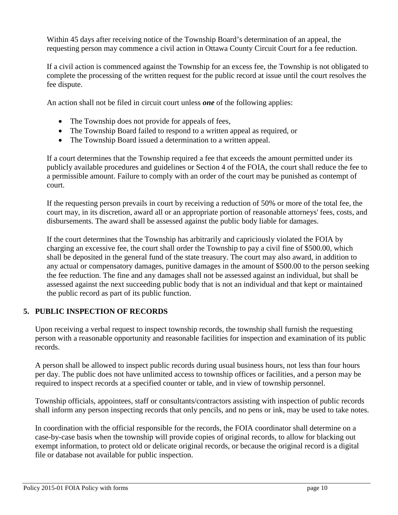Within 45 days after receiving notice of the Township Board's determination of an appeal, the requesting person may commence a civil action in Ottawa County Circuit Court for a fee reduction.

If a civil action is commenced against the Township for an excess fee, the Township is not obligated to complete the processing of the written request for the public record at issue until the court resolves the fee dispute.

An action shall not be filed in circuit court unless *one* of the following applies:

- The Township does not provide for appeals of fees,
- The Township Board failed to respond to a written appeal as required, or
- The Township Board issued a determination to a written appeal.

If a court determines that the Township required a fee that exceeds the amount permitted under its publicly available procedures and guidelines or Section 4 of the FOIA, the court shall reduce the fee to a permissible amount. Failure to comply with an order of the court may be punished as contempt of court.

If the requesting person prevails in court by receiving a reduction of 50% or more of the total fee, the court may, in its discretion, award all or an appropriate portion of reasonable attorneys' fees, costs, and disbursements. The award shall be assessed against the public body liable for damages.

If the court determines that the Township has arbitrarily and capriciously violated the FOIA by charging an excessive fee, the court shall order the Township to pay a civil fine of \$500.00, which shall be deposited in the general fund of the state treasury. The court may also award, in addition to any actual or compensatory damages, punitive damages in the amount of \$500.00 to the person seeking the fee reduction. The fine and any damages shall not be assessed against an individual, but shall be assessed against the next succeeding public body that is not an individual and that kept or maintained the public record as part of its public function.

# **5. PUBLIC INSPECTION OF RECORDS**

Upon receiving a verbal request to inspect township records, the township shall furnish the requesting person with a reasonable opportunity and reasonable facilities for inspection and examination of its public records.

A person shall be allowed to inspect public records during usual business hours, not less than four hours per day. The public does not have unlimited access to township offices or facilities, and a person may be required to inspect records at a specified counter or table, and in view of township personnel.

Township officials, appointees, staff or consultants/contractors assisting with inspection of public records shall inform any person inspecting records that only pencils, and no pens or ink, may be used to take notes.

In coordination with the official responsible for the records, the FOIA coordinator shall determine on a case-by-case basis when the township will provide copies of original records, to allow for blacking out exempt information, to protect old or delicate original records, or because the original record is a digital file or database not available for public inspection.